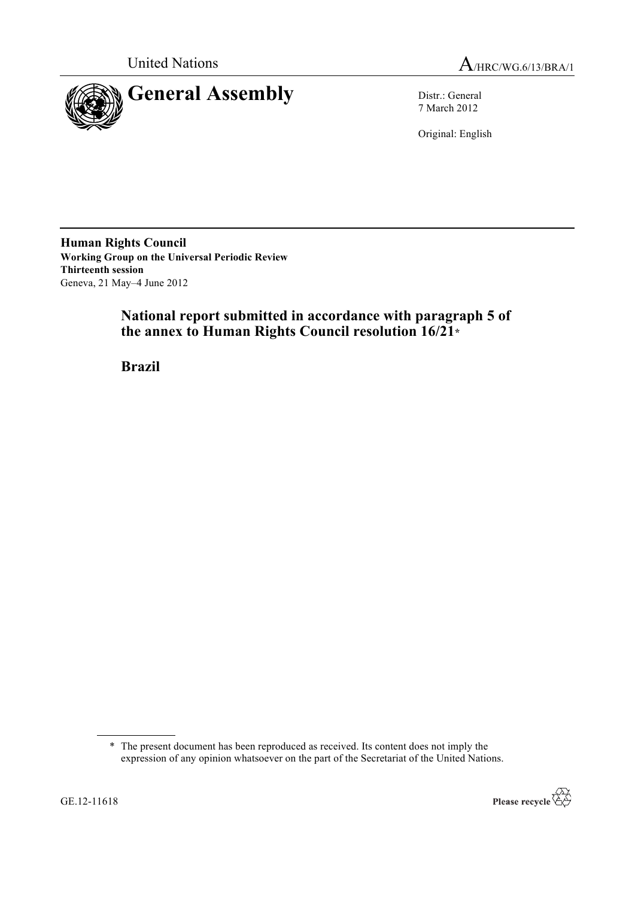



7 March 2012

Original: English

**Human Rights Council Working Group on the Universal Periodic Review Thirteenth session** Geneva, 21 May–4 June 2012

# **National report submitted in accordance with paragraph 5 of the annex to Human Rights Council resolution 16/21\***

**Brazil**

<sup>\*</sup> The present document has been reproduced as received. Its content does not imply the expression of any opinion whatsoever on the part of the Secretariat of the United Nations.

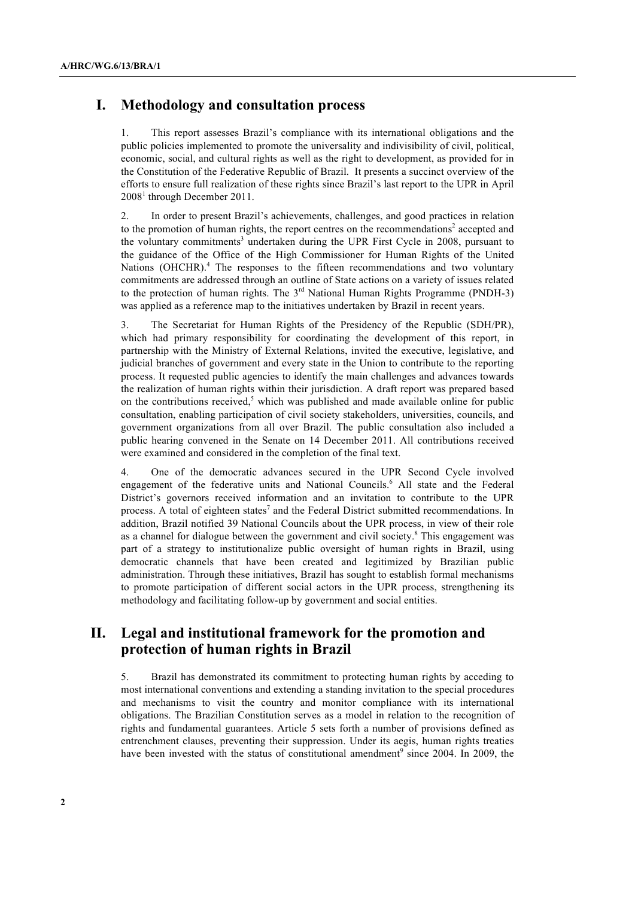# **I. Methodology and consultation process**

1. This report assesses Brazil's compliance with its international obligations and the public policies implemented to promote the universality and indivisibility of civil, political, economic, social, and cultural rights as well as the right to development, as provided for in the Constitution of the Federative Republic of Brazil. It presents a succinct overview of the efforts to ensure full realization of these rights since Brazil's last report to the UPR in April 2008<sup>1</sup> through December 2011.

2. In order to present Brazil's achievements, challenges, and good practices in relation to the promotion of human rights, the report centres on the recommendations<sup>2</sup> accepted and the voluntary commitments<sup>3</sup> undertaken during the UPR First Cycle in 2008, pursuant to the guidance of the Office of the High Commissioner for Human Rights of the United Nations (OHCHR).<sup>4</sup> The responses to the fifteen recommendations and two voluntary commitments are addressed through an outline of State actions on a variety of issues related to the protection of human rights. The 3<sup>rd</sup> National Human Rights Programme (PNDH-3) was applied as a reference map to the initiatives undertaken by Brazil in recent years.

3. The Secretariat for Human Rights of the Presidency of the Republic (SDH/PR), which had primary responsibility for coordinating the development of this report, in partnership with the Ministry of External Relations, invited the executive, legislative, and judicial branches of government and every state in the Union to contribute to the reporting process. It requested public agencies to identify the main challenges and advances towards the realization of human rights within their jurisdiction. A draft report was prepared based on the contributions received,<sup>5</sup> which was published and made available online for public consultation, enabling participation of civil society stakeholders, universities, councils, and government organizations from all over Brazil. The public consultation also included a public hearing convened in the Senate on 14 December 2011. All contributions received were examined and considered in the completion of the final text.

4. One of the democratic advances secured in the UPR Second Cycle involved engagement of the federative units and National Councils.<sup>6</sup> All state and the Federal District's governors received information and an invitation to contribute to the UPR process. A total of eighteen states<sup>7</sup> and the Federal District submitted recommendations. In addition, Brazil notified 39 National Councils about the UPR process, in view of their role as a channel for dialogue between the government and civil society.<sup>8</sup> This engagement was part of a strategy to institutionalize public oversight of human rights in Brazil, using democratic channels that have been created and legitimized by Brazilian public administration. Through these initiatives, Brazil has sought to establish formal mechanisms to promote participation of different social actors in the UPR process, strengthening its methodology and facilitating follow-up by government and social entities.

# **II. Legal and institutional framework for the promotion and protection of human rights in Brazil**

5. Brazil has demonstrated its commitment to protecting human rights by acceding to most international conventions and extending a standing invitation to the special procedures and mechanisms to visit the country and monitor compliance with its international obligations. The Brazilian Constitution serves as a model in relation to the recognition of rights and fundamental guarantees. Article 5 sets forth a number of provisions defined as entrenchment clauses, preventing their suppression. Under its aegis, human rights treaties have been invested with the status of constitutional amendment<sup>9</sup> since 2004. In 2009, the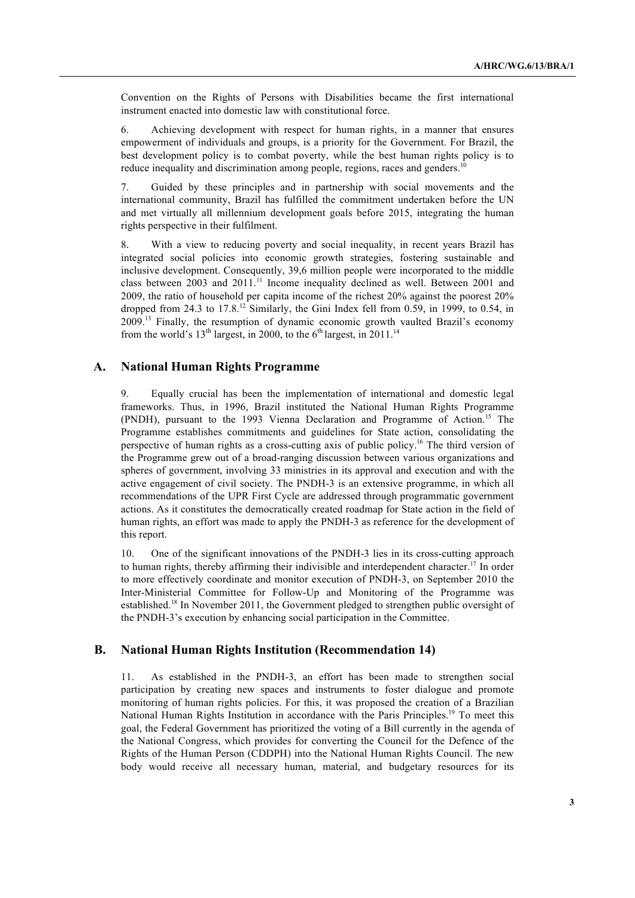Convention on the Rights of Persons with Disabilities became the first international instrument enacted into domestic law with constitutional force.

6. Achieving development with respect for human rights, in a manner that ensures empowerment of individuals and groups, is a priority for the Government. For Brazil, the best development policy is to combat poverty, while the best human rights policy is to reduce inequality and discrimination among people, regions, races and genders.<sup>10</sup>

7. Guided by these principles and in partnership with social movements and the international community, Brazil has fulfilled the commitment undertaken before the UN and met virtually all millennium development goals before 2015, integrating the human rights perspective in their fulfilment.

8. With a view to reducing poverty and social inequality, in recent years Brazil has integrated social policies into economic growth strategies, fostering sustainable and inclusive development. Consequently, 39,6 million people were incorporated to the middle class between 2003 and 2011.<sup>11</sup> Income inequality declined as well. Between 2001 and 2009, the ratio of household per capita income of the richest 20% against the poorest 20% dropped from 24.3 to  $17.8<sup>12</sup>$  Similarly, the Gini Index fell from 0.59, in 1999, to 0.54, in 2009.13 Finally, the resumption of dynamic economic growth vaulted Brazil's economy from the world's  $13<sup>th</sup>$  largest, in 2000, to the 6<sup>th</sup> largest, in 2011.<sup>14</sup>

### **A. National Human Rights Programme**

9. Equally crucial has been the implementation of international and domestic legal frameworks. Thus, in 1996, Brazil instituted the National Human Rights Programme (PNDH), pursuant to the 1993 Vienna Declaration and Programme of Action.<sup>15</sup> The Programme establishes commitments and guidelines for State action, consolidating the perspective of human rights as a cross-cutting axis of public policy.16 The third version of the Programme grew out of a broad-ranging discussion between various organizations and spheres of government, involving 33 ministries in its approval and execution and with the active engagement of civil society. The PNDH-3 is an extensive programme, in which all recommendations of the UPR First Cycle are addressed through programmatic government actions. As it constitutes the democratically created roadmap for State action in the field of human rights, an effort was made to apply the PNDH-3 as reference for the development of this report.

10. One of the significant innovations of the PNDH-3 lies in its cross-cutting approach to human rights, thereby affirming their indivisible and interdependent character.<sup>17</sup> In order to more effectively coordinate and monitor execution of PNDH-3, on September 2010 the Inter-Ministerial Committee for Follow-Up and Monitoring of the Programme was established.18 In November 2011, the Government pledged to strengthen public oversight of the PNDH-3's execution by enhancing social participation in the Committee.

### **B. National Human Rights Institution (Recommendation 14)**

11. As established in the PNDH-3, an effort has been made to strengthen social participation by creating new spaces and instruments to foster dialogue and promote monitoring of human rights policies. For this, it was proposed the creation of a Brazilian National Human Rights Institution in accordance with the Paris Principles.<sup>19</sup> To meet this goal, the Federal Government has prioritized the voting of a Bill currently in the agenda of the National Congress, which provides for converting the Council for the Defence of the Rights of the Human Person (CDDPH) into the National Human Rights Council. The new body would receive all necessary human, material, and budgetary resources for its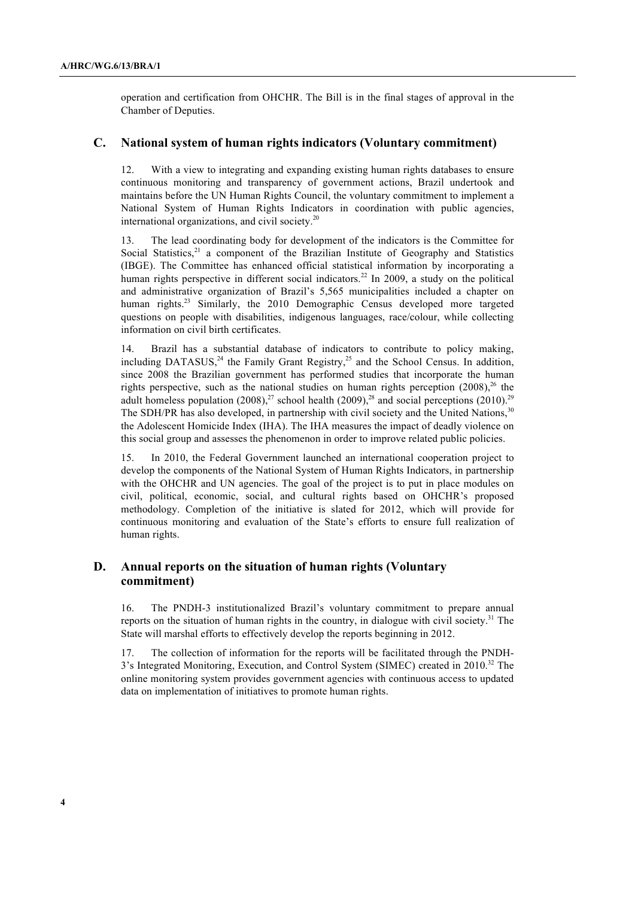operation and certification from OHCHR. The Bill is in the final stages of approval in the Chamber of Deputies.

#### **C. National system of human rights indicators (Voluntary commitment)**

12. With a view to integrating and expanding existing human rights databases to ensure continuous monitoring and transparency of government actions, Brazil undertook and maintains before the UN Human Rights Council, the voluntary commitment to implement a National System of Human Rights Indicators in coordination with public agencies, international organizations, and civil society.<sup>20</sup>

13. The lead coordinating body for development of the indicators is the Committee for Social Statistics, $21$  a component of the Brazilian Institute of Geography and Statistics (IBGE). The Committee has enhanced official statistical information by incorporating a human rights perspective in different social indicators.<sup>22</sup> In 2009, a study on the political and administrative organization of Brazil's 5,565 municipalities included a chapter on human rights.<sup>23</sup> Similarly, the 2010 Demographic Census developed more targeted questions on people with disabilities, indigenous languages, race/colour, while collecting information on civil birth certificates.

14. Brazil has a substantial database of indicators to contribute to policy making, including DATASUS,<sup>24</sup> the Family Grant Registry,<sup>25</sup> and the School Census. In addition, since 2008 the Brazilian government has performed studies that incorporate the human rights perspective, such as the national studies on human rights perception  $(2008)^{26}$  the adult homeless population  $(2008)^{27}$  school health  $(2009)^{28}$  and social perceptions  $(2010)^{29}$ The SDH/PR has also developed, in partnership with civil society and the United Nations.<sup>30</sup> the Adolescent Homicide Index (IHA). The IHA measures the impact of deadly violence on this social group and assesses the phenomenon in order to improve related public policies.

15. In 2010, the Federal Government launched an international cooperation project to develop the components of the National System of Human Rights Indicators, in partnership with the OHCHR and UN agencies. The goal of the project is to put in place modules on civil, political, economic, social, and cultural rights based on OHCHR's proposed methodology. Completion of the initiative is slated for 2012, which will provide for continuous monitoring and evaluation of the State's efforts to ensure full realization of human rights.

# **D. Annual reports on the situation of human rights (Voluntary commitment)**

16. The PNDH-3 institutionalized Brazil's voluntary commitment to prepare annual reports on the situation of human rights in the country, in dialogue with civil society. $31$  The State will marshal efforts to effectively develop the reports beginning in 2012.

17. The collection of information for the reports will be facilitated through the PNDH-3's Integrated Monitoring, Execution, and Control System (SIMEC) created in 2010.32 The online monitoring system provides government agencies with continuous access to updated data on implementation of initiatives to promote human rights.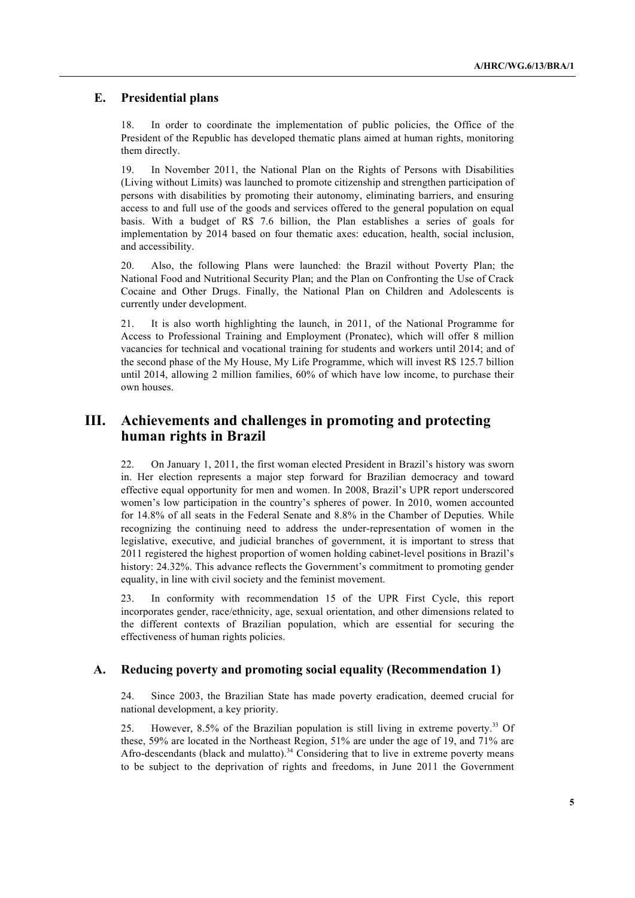### **E. Presidential plans**

18. In order to coordinate the implementation of public policies, the Office of the President of the Republic has developed thematic plans aimed at human rights, monitoring them directly.

19. In November 2011, the National Plan on the Rights of Persons with Disabilities (Living without Limits) was launched to promote citizenship and strengthen participation of persons with disabilities by promoting their autonomy, eliminating barriers, and ensuring access to and full use of the goods and services offered to the general population on equal basis. With a budget of R\$ 7.6 billion, the Plan establishes a series of goals for implementation by 2014 based on four thematic axes: education, health, social inclusion, and accessibility.

20. Also, the following Plans were launched: the Brazil without Poverty Plan; the National Food and Nutritional Security Plan; and the Plan on Confronting the Use of Crack Cocaine and Other Drugs. Finally, the National Plan on Children and Adolescents is currently under development.

21. It is also worth highlighting the launch, in 2011, of the National Programme for Access to Professional Training and Employment (Pronatec), which will offer 8 million vacancies for technical and vocational training for students and workers until 2014; and of the second phase of the My House, My Life Programme, which will invest R\$ 125.7 billion until 2014, allowing 2 million families, 60% of which have low income, to purchase their own houses.

# **III. Achievements and challenges in promoting and protecting human rights in Brazil**

22. On January 1, 2011, the first woman elected President in Brazil's history was sworn in. Her election represents a major step forward for Brazilian democracy and toward effective equal opportunity for men and women. In 2008, Brazil's UPR report underscored women's low participation in the country's spheres of power. In 2010, women accounted for 14.8% of all seats in the Federal Senate and 8.8% in the Chamber of Deputies. While recognizing the continuing need to address the under-representation of women in the legislative, executive, and judicial branches of government, it is important to stress that 2011 registered the highest proportion of women holding cabinet-level positions in Brazil's history: 24.32%. This advance reflects the Government's commitment to promoting gender equality, in line with civil society and the feminist movement.

23. In conformity with recommendation 15 of the UPR First Cycle, this report incorporates gender, race/ethnicity, age, sexual orientation, and other dimensions related to the different contexts of Brazilian population, which are essential for securing the effectiveness of human rights policies.

#### **A. Reducing poverty and promoting social equality (Recommendation 1)**

24. Since 2003, the Brazilian State has made poverty eradication, deemed crucial for national development, a key priority.

25. However, 8.5% of the Brazilian population is still living in extreme poverty.33 Of these, 59% are located in the Northeast Region, 51% are under the age of 19, and 71% are Afro-descendants (black and mulatto).<sup>34</sup> Considering that to live in extreme poverty means to be subject to the deprivation of rights and freedoms, in June 2011 the Government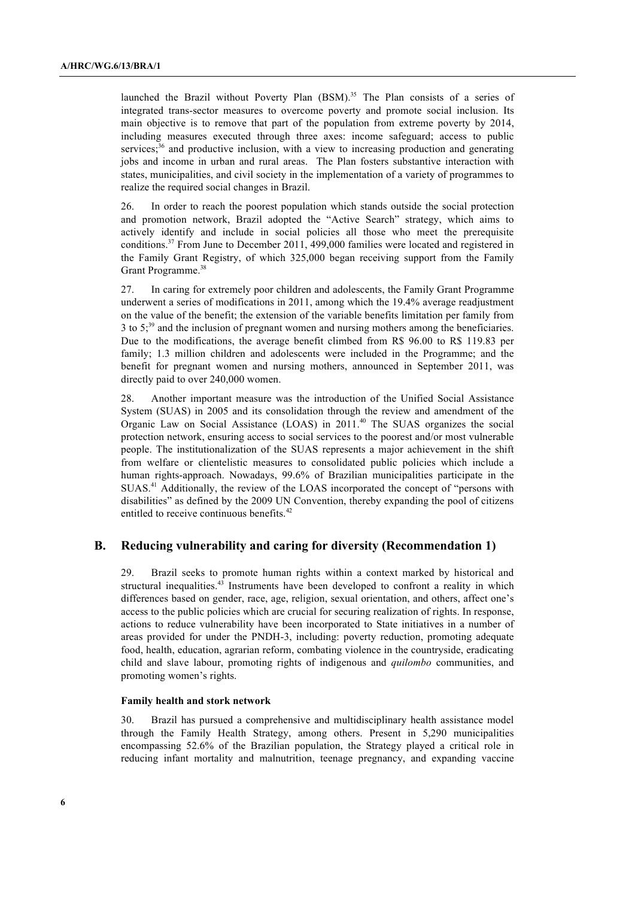launched the Brazil without Poverty Plan (BSM).<sup>35</sup> The Plan consists of a series of integrated trans-sector measures to overcome poverty and promote social inclusion. Its main objective is to remove that part of the population from extreme poverty by 2014, including measures executed through three axes: income safeguard; access to public services; $36$  and productive inclusion, with a view to increasing production and generating jobs and income in urban and rural areas. The Plan fosters substantive interaction with states, municipalities, and civil society in the implementation of a variety of programmes to realize the required social changes in Brazil.

26. In order to reach the poorest population which stands outside the social protection and promotion network, Brazil adopted the "Active Search" strategy, which aims to actively identify and include in social policies all those who meet the prerequisite conditions.37 From June to December 2011, 499,000 families were located and registered in the Family Grant Registry, of which 325,000 began receiving support from the Family Grant Programme.<sup>38</sup>

27. In caring for extremely poor children and adolescents, the Family Grant Programme underwent a series of modifications in 2011, among which the 19.4% average readjustment on the value of the benefit; the extension of the variable benefits limitation per family from 3 to 5;39 and the inclusion of pregnant women and nursing mothers among the beneficiaries. Due to the modifications, the average benefit climbed from R\$ 96.00 to R\$ 119.83 per family; 1.3 million children and adolescents were included in the Programme; and the benefit for pregnant women and nursing mothers, announced in September 2011, was directly paid to over 240,000 women.

28. Another important measure was the introduction of the Unified Social Assistance System (SUAS) in 2005 and its consolidation through the review and amendment of the Organic Law on Social Assistance (LOAS) in 2011.40 The SUAS organizes the social protection network, ensuring access to social services to the poorest and/or most vulnerable people. The institutionalization of the SUAS represents a major achievement in the shift from welfare or clientelistic measures to consolidated public policies which include a human rights-approach. Nowadays, 99.6% of Brazilian municipalities participate in the SUAS.41 Additionally, the review of the LOAS incorporated the concept of "persons with disabilities" as defined by the 2009 UN Convention, thereby expanding the pool of citizens entitled to receive continuous benefits.<sup>42</sup>

#### **B. Reducing vulnerability and caring for diversity (Recommendation 1)**

29. Brazil seeks to promote human rights within a context marked by historical and structural inequalities.<sup>43</sup> Instruments have been developed to confront a reality in which differences based on gender, race, age, religion, sexual orientation, and others, affect one's access to the public policies which are crucial for securing realization of rights. In response, actions to reduce vulnerability have been incorporated to State initiatives in a number of areas provided for under the PNDH-3, including: poverty reduction, promoting adequate food, health, education, agrarian reform, combating violence in the countryside, eradicating child and slave labour, promoting rights of indigenous and *quilombo* communities, and promoting women's rights.

#### **Family health and stork network**

30. Brazil has pursued a comprehensive and multidisciplinary health assistance model through the Family Health Strategy, among others. Present in 5,290 municipalities encompassing 52.6% of the Brazilian population, the Strategy played a critical role in reducing infant mortality and malnutrition, teenage pregnancy, and expanding vaccine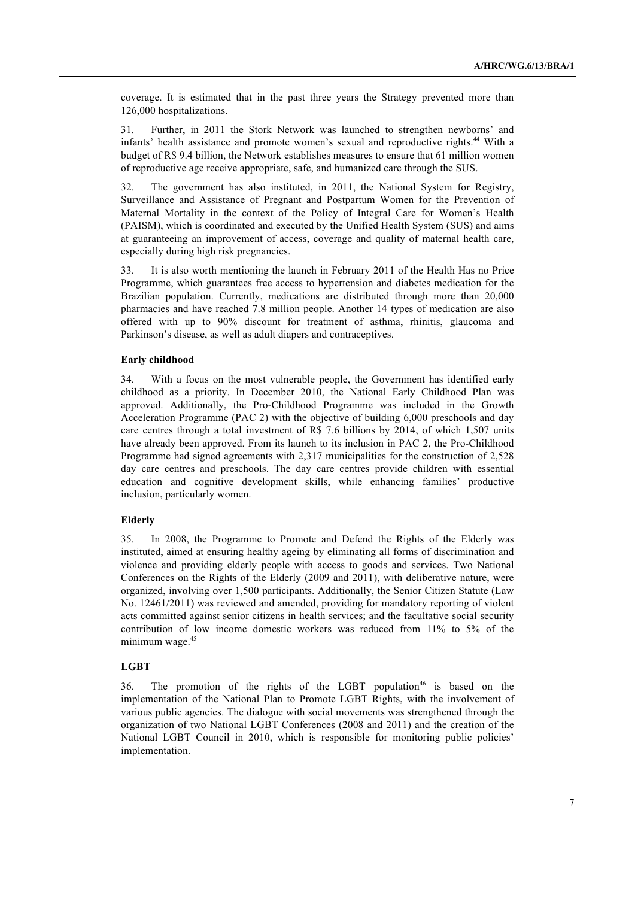coverage. It is estimated that in the past three years the Strategy prevented more than 126,000 hospitalizations.

31. Further, in 2011 the Stork Network was launched to strengthen newborns' and infants' health assistance and promote women's sexual and reproductive rights.<sup>44</sup> With a budget of R\$ 9.4 billion, the Network establishes measures to ensure that 61 million women of reproductive age receive appropriate, safe, and humanized care through the SUS.

32. The government has also instituted, in 2011, the National System for Registry, Surveillance and Assistance of Pregnant and Postpartum Women for the Prevention of Maternal Mortality in the context of the Policy of Integral Care for Women's Health (PAISM), which is coordinated and executed by the Unified Health System (SUS) and aims at guaranteeing an improvement of access, coverage and quality of maternal health care, especially during high risk pregnancies.

33. It is also worth mentioning the launch in February 2011 of the Health Has no Price Programme, which guarantees free access to hypertension and diabetes medication for the Brazilian population. Currently, medications are distributed through more than 20,000 pharmacies and have reached 7.8 million people. Another 14 types of medication are also offered with up to 90% discount for treatment of asthma, rhinitis, glaucoma and Parkinson's disease, as well as adult diapers and contraceptives.

#### **Early childhood**

34. With a focus on the most vulnerable people, the Government has identified early childhood as a priority. In December 2010, the National Early Childhood Plan was approved. Additionally, the Pro-Childhood Programme was included in the Growth Acceleration Programme (PAC 2) with the objective of building 6,000 preschools and day care centres through a total investment of R\$ 7.6 billions by 2014, of which 1,507 units have already been approved. From its launch to its inclusion in PAC 2, the Pro-Childhood Programme had signed agreements with 2,317 municipalities for the construction of 2,528 day care centres and preschools. The day care centres provide children with essential education and cognitive development skills, while enhancing families' productive inclusion, particularly women.

#### **Elderly**

35. In 2008, the Programme to Promote and Defend the Rights of the Elderly was instituted, aimed at ensuring healthy ageing by eliminating all forms of discrimination and violence and providing elderly people with access to goods and services. Two National Conferences on the Rights of the Elderly (2009 and 2011), with deliberative nature, were organized, involving over 1,500 participants. Additionally, the Senior Citizen Statute (Law No. 12461/2011) was reviewed and amended, providing for mandatory reporting of violent acts committed against senior citizens in health services; and the facultative social security contribution of low income domestic workers was reduced from 11% to 5% of the minimum wage.<sup>45</sup>

#### **LGBT**

36. The promotion of the rights of the LGBT population<sup>46</sup> is based on the implementation of the National Plan to Promote LGBT Rights, with the involvement of various public agencies. The dialogue with social movements was strengthened through the organization of two National LGBT Conferences (2008 and 2011) and the creation of the National LGBT Council in 2010, which is responsible for monitoring public policies' implementation.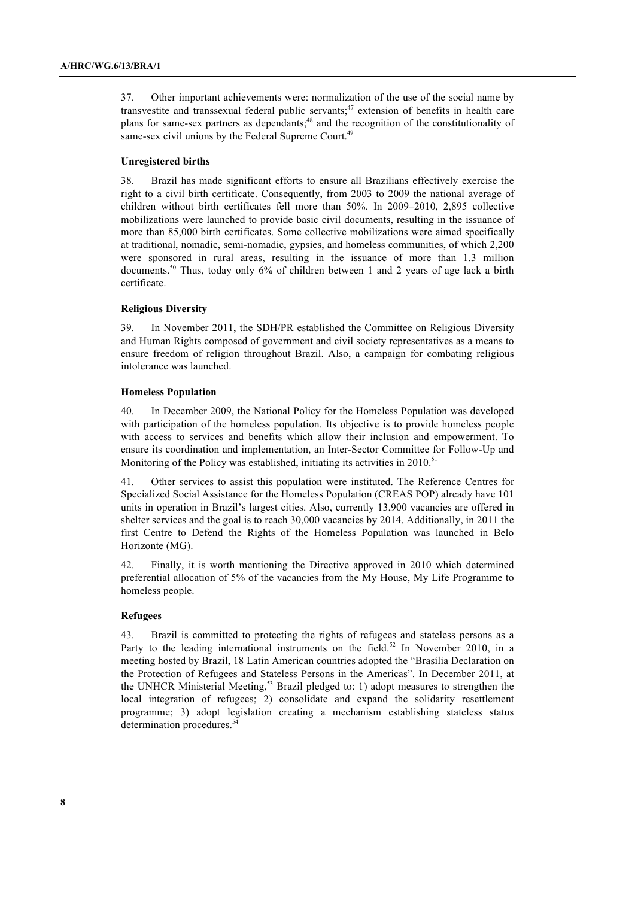37. Other important achievements were: normalization of the use of the social name by transvestite and transsexual federal public servants;<sup>47</sup> extension of benefits in health care plans for same-sex partners as dependants;<sup>48</sup> and the recognition of the constitutionality of same-sex civil unions by the Federal Supreme Court.<sup>49</sup>

#### **Unregistered births**

38. Brazil has made significant efforts to ensure all Brazilians effectively exercise the right to a civil birth certificate. Consequently, from 2003 to 2009 the national average of children without birth certificates fell more than 50%. In 2009–2010, 2,895 collective mobilizations were launched to provide basic civil documents, resulting in the issuance of more than 85,000 birth certificates. Some collective mobilizations were aimed specifically at traditional, nomadic, semi-nomadic, gypsies, and homeless communities, of which 2,200 were sponsored in rural areas, resulting in the issuance of more than 1.3 million documents.<sup>50</sup> Thus, today only 6% of children between 1 and 2 years of age lack a birth certificate.

#### **Religious Diversity**

39. In November 2011, the SDH/PR established the Committee on Religious Diversity and Human Rights composed of government and civil society representatives as a means to ensure freedom of religion throughout Brazil. Also, a campaign for combating religious intolerance was launched.

#### **Homeless Population**

40. In December 2009, the National Policy for the Homeless Population was developed with participation of the homeless population. Its objective is to provide homeless people with access to services and benefits which allow their inclusion and empowerment. To ensure its coordination and implementation, an Inter-Sector Committee for Follow-Up and Monitoring of the Policy was established, initiating its activities in 2010.<sup>51</sup>

41. Other services to assist this population were instituted. The Reference Centres for Specialized Social Assistance for the Homeless Population (CREAS POP) already have 101 units in operation in Brazil's largest cities. Also, currently 13,900 vacancies are offered in shelter services and the goal is to reach 30,000 vacancies by 2014. Additionally, in 2011 the first Centre to Defend the Rights of the Homeless Population was launched in Belo Horizonte (MG).

42. Finally, it is worth mentioning the Directive approved in 2010 which determined preferential allocation of 5% of the vacancies from the My House, My Life Programme to homeless people.

#### **Refugees**

43. Brazil is committed to protecting the rights of refugees and stateless persons as a Party to the leading international instruments on the field.<sup>52</sup> In November 2010, in a meeting hosted by Brazil, 18 Latin American countries adopted the "Brasília Declaration on the Protection of Refugees and Stateless Persons in the Americas". In December 2011, at the UNHCR Ministerial Meeting,<sup>53</sup> Brazil pledged to: 1) adopt measures to strengthen the local integration of refugees; 2) consolidate and expand the solidarity resettlement programme; 3) adopt legislation creating a mechanism establishing stateless status determination procedures.<sup>5</sup>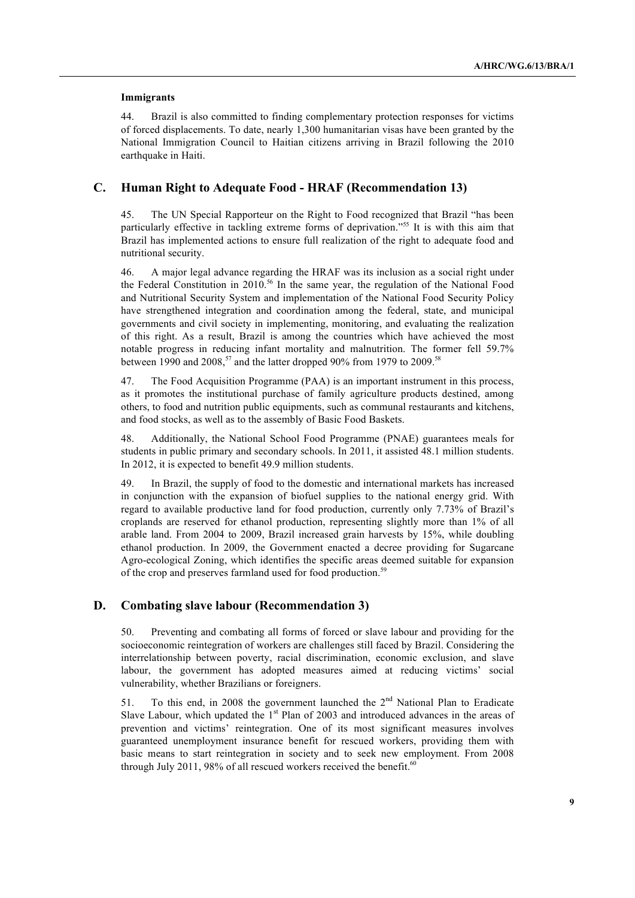#### **Immigrants**

44. Brazil is also committed to finding complementary protection responses for victims of forced displacements. To date, nearly 1,300 humanitarian visas have been granted by the National Immigration Council to Haitian citizens arriving in Brazil following the 2010 earthquake in Haiti.

### **C. Human Right to Adequate Food - HRAF (Recommendation 13)**

45. The UN Special Rapporteur on the Right to Food recognized that Brazil "has been particularly effective in tackling extreme forms of deprivation."55 It is with this aim that Brazil has implemented actions to ensure full realization of the right to adequate food and nutritional security.

46. A major legal advance regarding the HRAF was its inclusion as a social right under the Federal Constitution in 2010.<sup>56</sup> In the same year, the regulation of the National Food and Nutritional Security System and implementation of the National Food Security Policy have strengthened integration and coordination among the federal, state, and municipal governments and civil society in implementing, monitoring, and evaluating the realization of this right. As a result, Brazil is among the countries which have achieved the most notable progress in reducing infant mortality and malnutrition. The former fell 59.7% between 1990 and 2008,<sup>57</sup> and the latter dropped 90% from 1979 to 2009.<sup>58</sup>

47. The Food Acquisition Programme (PAA) is an important instrument in this process, as it promotes the institutional purchase of family agriculture products destined, among others, to food and nutrition public equipments, such as communal restaurants and kitchens, and food stocks, as well as to the assembly of Basic Food Baskets.

48. Additionally, the National School Food Programme (PNAE) guarantees meals for students in public primary and secondary schools. In 2011, it assisted 48.1 million students. In 2012, it is expected to benefit 49.9 million students.

49. In Brazil, the supply of food to the domestic and international markets has increased in conjunction with the expansion of biofuel supplies to the national energy grid. With regard to available productive land for food production, currently only 7.73% of Brazil's croplands are reserved for ethanol production, representing slightly more than 1% of all arable land. From 2004 to 2009, Brazil increased grain harvests by 15%, while doubling ethanol production. In 2009, the Government enacted a decree providing for Sugarcane Agro-ecological Zoning, which identifies the specific areas deemed suitable for expansion of the crop and preserves farmland used for food production.<sup>59</sup>

#### **D. Combating slave labour (Recommendation 3)**

50. Preventing and combating all forms of forced or slave labour and providing for the socioeconomic reintegration of workers are challenges still faced by Brazil. Considering the interrelationship between poverty, racial discrimination, economic exclusion, and slave labour, the government has adopted measures aimed at reducing victims' social vulnerability, whether Brazilians or foreigners.

51. To this end, in 2008 the government launched the  $2<sup>nd</sup>$  National Plan to Eradicate Slave Labour, which updated the  $1<sup>st</sup>$  Plan of 2003 and introduced advances in the areas of prevention and victims' reintegration. One of its most significant measures involves guaranteed unemployment insurance benefit for rescued workers, providing them with basic means to start reintegration in society and to seek new employment. From 2008 through July 2011, 98% of all rescued workers received the benefit. $60$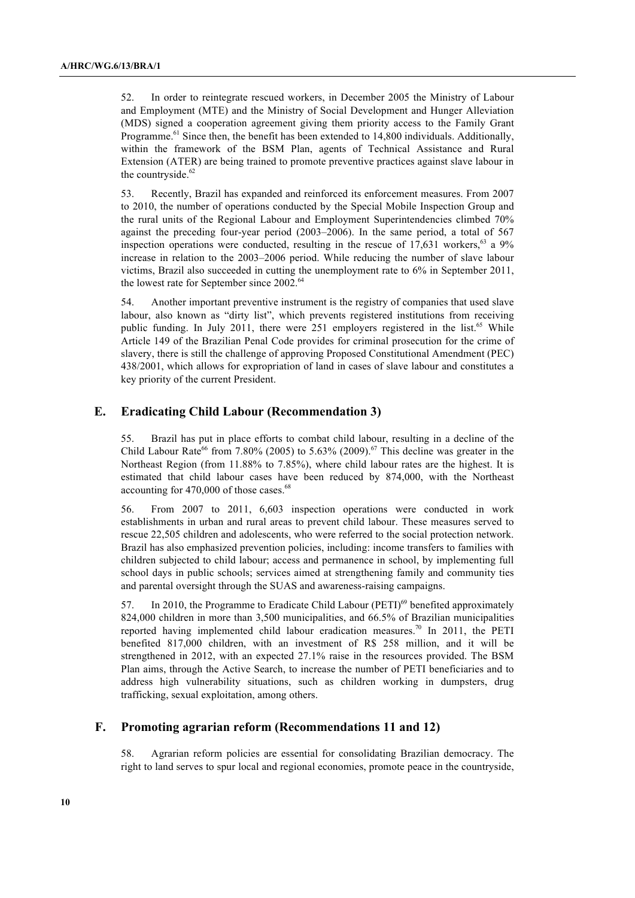52. In order to reintegrate rescued workers, in December 2005 the Ministry of Labour and Employment (MTE) and the Ministry of Social Development and Hunger Alleviation (MDS) signed a cooperation agreement giving them priority access to the Family Grant Programme.<sup> $61$ </sup> Since then, the benefit has been extended to 14,800 individuals. Additionally, within the framework of the BSM Plan, agents of Technical Assistance and Rural Extension (ATER) are being trained to promote preventive practices against slave labour in the countryside.<sup>62</sup>

53. Recently, Brazil has expanded and reinforced its enforcement measures. From 2007 to 2010, the number of operations conducted by the Special Mobile Inspection Group and the rural units of the Regional Labour and Employment Superintendencies climbed 70% against the preceding four-year period (2003–2006). In the same period, a total of 567 inspection operations were conducted, resulting in the rescue of  $17,631$  workers,<sup>63</sup> a 9% increase in relation to the 2003–2006 period. While reducing the number of slave labour victims, Brazil also succeeded in cutting the unemployment rate to 6% in September 2011, the lowest rate for September since 2002.<sup>64</sup>

54. Another important preventive instrument is the registry of companies that used slave labour, also known as "dirty list", which prevents registered institutions from receiving public funding. In July 2011, there were 251 employers registered in the list.<sup>65</sup> While Article 149 of the Brazilian Penal Code provides for criminal prosecution for the crime of slavery, there is still the challenge of approving Proposed Constitutional Amendment (PEC) 438/2001, which allows for expropriation of land in cases of slave labour and constitutes a key priority of the current President.

### **E. Eradicating Child Labour (Recommendation 3)**

55. Brazil has put in place efforts to combat child labour, resulting in a decline of the Child Labour Rate<sup>66</sup> from 7.80% (2005) to 5.63% (2009).<sup>67</sup> This decline was greater in the Northeast Region (from 11.88% to 7.85%), where child labour rates are the highest. It is estimated that child labour cases have been reduced by 874,000, with the Northeast accounting for 470,000 of those cases.<sup>68</sup>

56. From 2007 to 2011, 6,603 inspection operations were conducted in work establishments in urban and rural areas to prevent child labour. These measures served to rescue 22,505 children and adolescents, who were referred to the social protection network. Brazil has also emphasized prevention policies, including: income transfers to families with children subjected to child labour; access and permanence in school, by implementing full school days in public schools; services aimed at strengthening family and community ties and parental oversight through the SUAS and awareness-raising campaigns.

57. In 2010, the Programme to Eradicate Child Labour (PETI)<sup>69</sup> benefited approximately 824,000 children in more than 3,500 municipalities, and 66.5% of Brazilian municipalities reported having implemented child labour eradication measures.<sup>70</sup> In 2011, the PETI benefited 817,000 children, with an investment of R\$ 258 million, and it will be strengthened in 2012, with an expected 27.1% raise in the resources provided. The BSM Plan aims, through the Active Search, to increase the number of PETI beneficiaries and to address high vulnerability situations, such as children working in dumpsters, drug trafficking, sexual exploitation, among others.

#### **F. Promoting agrarian reform (Recommendations 11 and 12)**

58. Agrarian reform policies are essential for consolidating Brazilian democracy. The right to land serves to spur local and regional economies, promote peace in the countryside,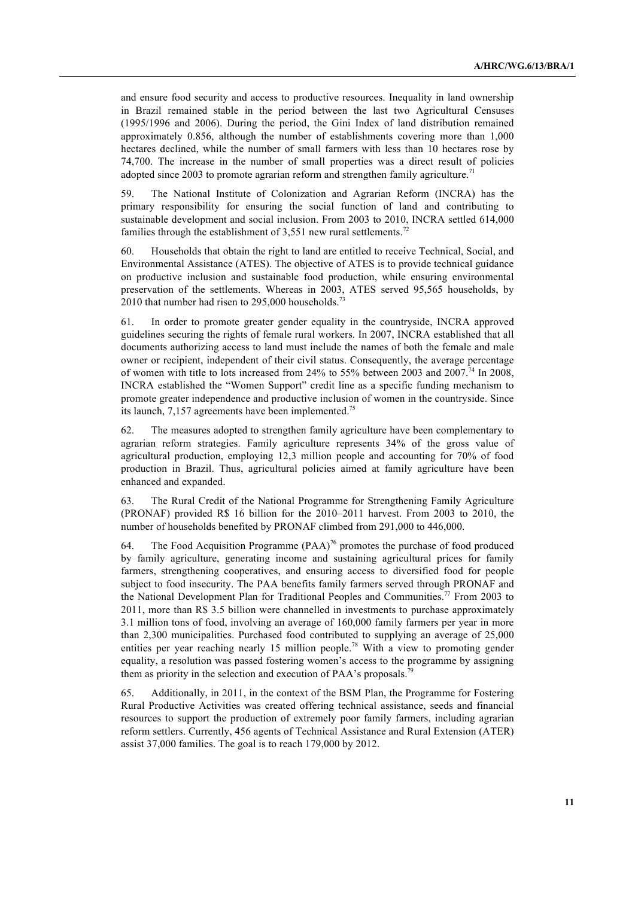and ensure food security and access to productive resources. Inequality in land ownership in Brazil remained stable in the period between the last two Agricultural Censuses (1995/1996 and 2006). During the period, the Gini Index of land distribution remained approximately 0.856, although the number of establishments covering more than 1,000 hectares declined, while the number of small farmers with less than 10 hectares rose by 74,700. The increase in the number of small properties was a direct result of policies adopted since 2003 to promote agrarian reform and strengthen family agriculture.<sup>71</sup>

59. The National Institute of Colonization and Agrarian Reform (INCRA) has the primary responsibility for ensuring the social function of land and contributing to sustainable development and social inclusion. From 2003 to 2010, INCRA settled 614,000 families through the establishment of  $3,551$  new rural settlements.<sup>72</sup>

60. Households that obtain the right to land are entitled to receive Technical, Social, and Environmental Assistance (ATES). The objective of ATES is to provide technical guidance on productive inclusion and sustainable food production, while ensuring environmental preservation of the settlements. Whereas in 2003, ATES served 95,565 households, by 2010 that number had risen to  $295,000$  households.<sup>73</sup>

61. In order to promote greater gender equality in the countryside, INCRA approved guidelines securing the rights of female rural workers. In 2007, INCRA established that all documents authorizing access to land must include the names of both the female and male owner or recipient, independent of their civil status. Consequently, the average percentage of women with title to lots increased from 24% to 55% between 2003 and 2007.<sup>74</sup> In 2008, INCRA established the "Women Support" credit line as a specific funding mechanism to promote greater independence and productive inclusion of women in the countryside. Since its launch,  $7,157$  agreements have been implemented.<sup>75</sup>

62. The measures adopted to strengthen family agriculture have been complementary to agrarian reform strategies. Family agriculture represents 34% of the gross value of agricultural production, employing 12,3 million people and accounting for 70% of food production in Brazil. Thus, agricultural policies aimed at family agriculture have been enhanced and expanded.

63. The Rural Credit of the National Programme for Strengthening Family Agriculture (PRONAF) provided R\$ 16 billion for the 2010–2011 harvest. From 2003 to 2010, the number of households benefited by PRONAF climbed from 291,000 to 446,000.

64. The Food Acquisition Programme (PAA)76 promotes the purchase of food produced by family agriculture, generating income and sustaining agricultural prices for family farmers, strengthening cooperatives, and ensuring access to diversified food for people subject to food insecurity. The PAA benefits family farmers served through PRONAF and the National Development Plan for Traditional Peoples and Communities.<sup>77</sup> From 2003 to 2011, more than R\$ 3.5 billion were channelled in investments to purchase approximately 3.1 million tons of food, involving an average of 160,000 family farmers per year in more than 2,300 municipalities. Purchased food contributed to supplying an average of 25,000 entities per year reaching nearly 15 million people.78 With a view to promoting gender equality, a resolution was passed fostering women's access to the programme by assigning them as priority in the selection and execution of PAA's proposals.<sup>79</sup>

65. Additionally, in 2011, in the context of the BSM Plan, the Programme for Fostering Rural Productive Activities was created offering technical assistance, seeds and financial resources to support the production of extremely poor family farmers, including agrarian reform settlers. Currently, 456 agents of Technical Assistance and Rural Extension (ATER) assist 37,000 families. The goal is to reach 179,000 by 2012.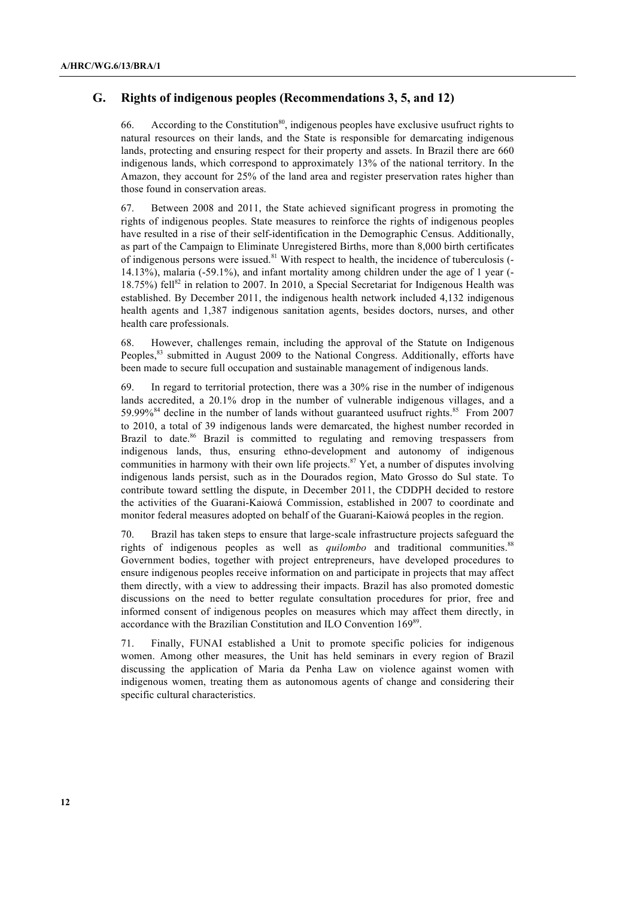## **G. Rights of indigenous peoples (Recommendations 3, 5, and 12)**

66. According to the Constitution<sup>80</sup>, indigenous peoples have exclusive usufruct rights to natural resources on their lands, and the State is responsible for demarcating indigenous lands, protecting and ensuring respect for their property and assets. In Brazil there are 660 indigenous lands, which correspond to approximately 13% of the national territory. In the Amazon, they account for 25% of the land area and register preservation rates higher than those found in conservation areas.

67. Between 2008 and 2011, the State achieved significant progress in promoting the rights of indigenous peoples. State measures to reinforce the rights of indigenous peoples have resulted in a rise of their self-identification in the Demographic Census. Additionally, as part of the Campaign to Eliminate Unregistered Births, more than 8,000 birth certificates of indigenous persons were issued.<sup>81</sup> With respect to health, the incidence of tuberculosis (-14.13%), malaria (-59.1%), and infant mortality among children under the age of 1 year (- 18.75%) fell<sup>82</sup> in relation to 2007. In 2010, a Special Secretariat for Indigenous Health was established. By December 2011, the indigenous health network included 4,132 indigenous health agents and 1,387 indigenous sanitation agents, besides doctors, nurses, and other health care professionals.

68. However, challenges remain, including the approval of the Statute on Indigenous Peoples,<sup>83</sup> submitted in August 2009 to the National Congress. Additionally, efforts have been made to secure full occupation and sustainable management of indigenous lands.

69. In regard to territorial protection, there was a 30% rise in the number of indigenous lands accredited, a 20.1% drop in the number of vulnerable indigenous villages, and a 59.99%<sup>84</sup> decline in the number of lands without guaranteed usufruct rights.<sup>85</sup> From 2007 to 2010, a total of 39 indigenous lands were demarcated, the highest number recorded in Brazil to date.<sup>86</sup> Brazil is committed to regulating and removing trespassers from indigenous lands, thus, ensuring ethno-development and autonomy of indigenous communities in harmony with their own life projects.<sup>87</sup> Yet, a number of disputes involving indigenous lands persist, such as in the Dourados region, Mato Grosso do Sul state. To contribute toward settling the dispute, in December 2011, the CDDPH decided to restore the activities of the Guarani-Kaiowá Commission, established in 2007 to coordinate and monitor federal measures adopted on behalf of the Guarani-Kaiowá peoples in the region.

70. Brazil has taken steps to ensure that large-scale infrastructure projects safeguard the rights of indigenous peoples as well as *quilombo* and traditional communities.<sup>88</sup> Government bodies, together with project entrepreneurs, have developed procedures to ensure indigenous peoples receive information on and participate in projects that may affect them directly, with a view to addressing their impacts. Brazil has also promoted domestic discussions on the need to better regulate consultation procedures for prior, free and informed consent of indigenous peoples on measures which may affect them directly, in accordance with the Brazilian Constitution and ILO Convention 169<sup>89</sup>.

71. Finally, FUNAI established a Unit to promote specific policies for indigenous women. Among other measures, the Unit has held seminars in every region of Brazil discussing the application of Maria da Penha Law on violence against women with indigenous women, treating them as autonomous agents of change and considering their specific cultural characteristics.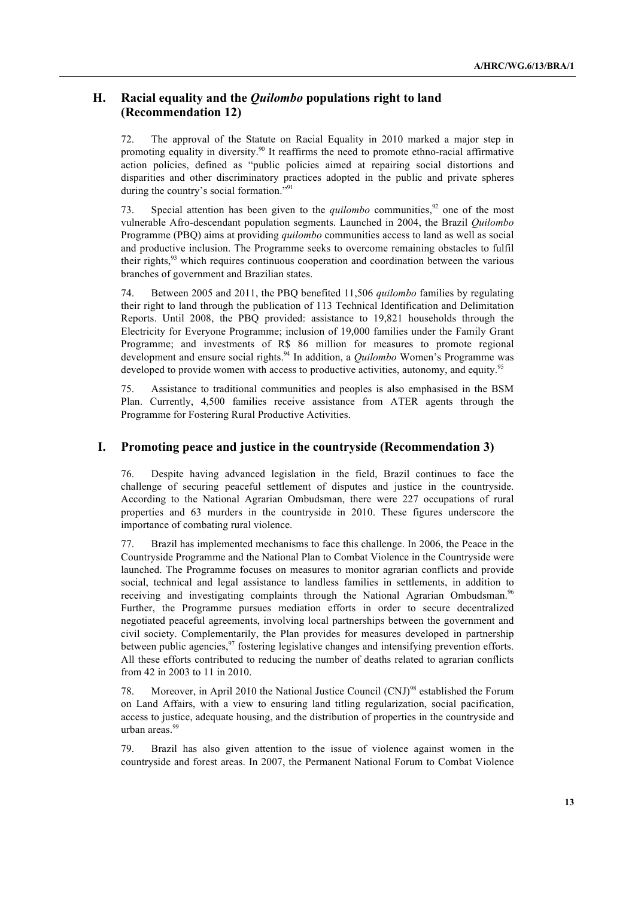# **H. Racial equality and the** *Quilombo* **populations right to land (Recommendation 12)**

72. The approval of the Statute on Racial Equality in 2010 marked a major step in promoting equality in diversity.<sup>90</sup> It reaffirms the need to promote ethno-racial affirmative action policies, defined as "public policies aimed at repairing social distortions and disparities and other discriminatory practices adopted in the public and private spheres during the country's social formation."<sup>91</sup>

73. Special attention has been given to the *quilombo* communities,<sup>92</sup> one of the most vulnerable Afro-descendant population segments. Launched in 2004, the Brazil *Quilombo* Programme (PBQ) aims at providing *quilombo* communities access to land as well as social and productive inclusion. The Programme seeks to overcome remaining obstacles to fulfil their rights,<sup>93</sup> which requires continuous cooperation and coordination between the various branches of government and Brazilian states.

74. Between 2005 and 2011, the PBQ benefited 11,506 *quilombo* families by regulating their right to land through the publication of 113 Technical Identification and Delimitation Reports. Until 2008, the PBQ provided: assistance to 19,821 households through the Electricity for Everyone Programme; inclusion of 19,000 families under the Family Grant Programme; and investments of R\$ 86 million for measures to promote regional development and ensure social rights.94 In addition, a *Quilombo* Women's Programme was developed to provide women with access to productive activities, autonomy, and equity.<sup>9</sup>

75. Assistance to traditional communities and peoples is also emphasised in the BSM Plan. Currently, 4,500 families receive assistance from ATER agents through the Programme for Fostering Rural Productive Activities.

### **I. Promoting peace and justice in the countryside (Recommendation 3)**

76. Despite having advanced legislation in the field, Brazil continues to face the challenge of securing peaceful settlement of disputes and justice in the countryside. According to the National Agrarian Ombudsman, there were 227 occupations of rural properties and 63 murders in the countryside in 2010. These figures underscore the importance of combating rural violence.

77. Brazil has implemented mechanisms to face this challenge. In 2006, the Peace in the Countryside Programme and the National Plan to Combat Violence in the Countryside were launched. The Programme focuses on measures to monitor agrarian conflicts and provide social, technical and legal assistance to landless families in settlements, in addition to receiving and investigating complaints through the National Agrarian Ombudsman.<sup>96</sup> Further, the Programme pursues mediation efforts in order to secure decentralized negotiated peaceful agreements, involving local partnerships between the government and civil society. Complementarily, the Plan provides for measures developed in partnership between public agencies,<sup>97</sup> fostering legislative changes and intensifying prevention efforts. All these efforts contributed to reducing the number of deaths related to agrarian conflicts from 42 in 2003 to 11 in 2010.

78. Moreover, in April 2010 the National Justice Council (CNJ)<sup>98</sup> established the Forum on Land Affairs, with a view to ensuring land titling regularization, social pacification, access to justice, adequate housing, and the distribution of properties in the countryside and urban areas.<sup>99</sup>

79. Brazil has also given attention to the issue of violence against women in the countryside and forest areas. In 2007, the Permanent National Forum to Combat Violence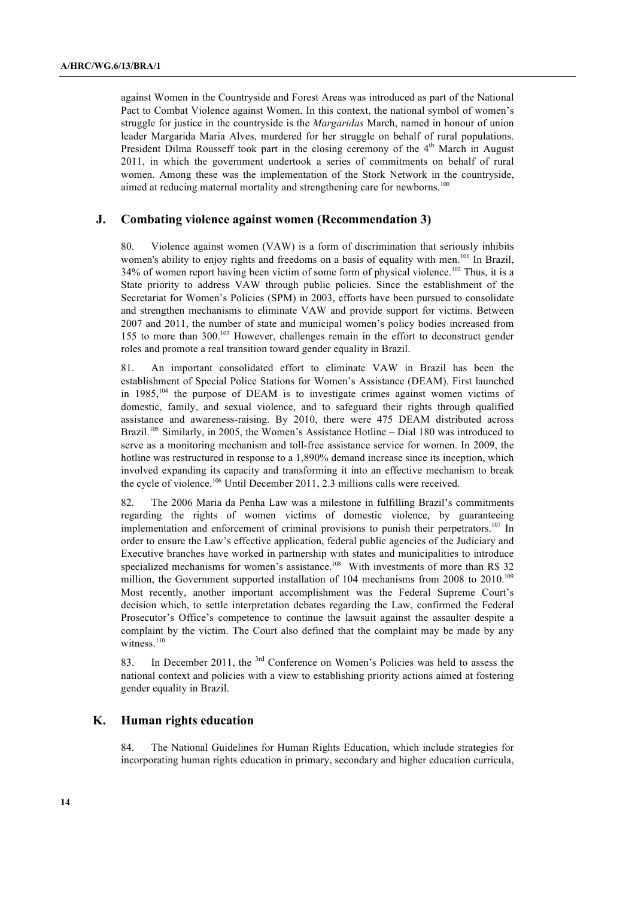against Women in the Countryside and Forest Areas was introduced as part of the National Pact to Combat Violence against Women. In this context, the national symbol of women's struggle for justice in the countryside is the *Margaridas* March, named in honour of union leader Margarida Maria Alves, murdered for her struggle on behalf of rural populations. President Dilma Rousseff took part in the closing ceremony of the 4<sup>th</sup> March in August 2011, in which the government undertook a series of commitments on behalf of rural women. Among these was the implementation of the Stork Network in the countryside, aimed at reducing maternal mortality and strengthening care for newborns.<sup>100</sup>

#### **J. Combating violence against women (Recommendation 3)**

80. Violence against women (VAW) is a form of discrimination that seriously inhibits women's ability to enjoy rights and freedoms on a basis of equality with men.<sup>101</sup> In Brazil, 34% of women report having been victim of some form of physical violence.<sup>102</sup> Thus, it is a State priority to address VAW through public policies. Since the establishment of the Secretariat for Women's Policies (SPM) in 2003, efforts have been pursued to consolidate and strengthen mechanisms to eliminate VAW and provide support for victims. Between 2007 and 2011, the number of state and municipal women's policy bodies increased from 155 to more than 300.103 However, challenges remain in the effort to deconstruct gender roles and promote a real transition toward gender equality in Brazil.

81. An important consolidated effort to eliminate VAW in Brazil has been the establishment of Special Police Stations for Women's Assistance (DEAM). First launched in  $1985$ ,<sup>104</sup> the purpose of DEAM is to investigate crimes against women victims of domestic, family, and sexual violence, and to safeguard their rights through qualified assistance and awareness-raising. By 2010, there were 475 DEAM distributed across Brazil.<sup>105</sup> Similarly, in 2005, the Women's Assistance Hotline – Dial 180 was introduced to serve as a monitoring mechanism and toll-free assistance service for women. In 2009, the hotline was restructured in response to a 1,890% demand increase since its inception, which involved expanding its capacity and transforming it into an effective mechanism to break the cycle of violence.<sup>106</sup> Until December 2011, 2.3 millions calls were received.

82. The 2006 Maria da Penha Law was a milestone in fulfilling Brazil's commitments regarding the rights of women victims of domestic violence, by guaranteeing implementation and enforcement of criminal provisions to punish their perpetrators.<sup>107</sup> In order to ensure the Law's effective application, federal public agencies of the Judiciary and Executive branches have worked in partnership with states and municipalities to introduce specialized mechanisms for women's assistance.<sup>108</sup> With investments of more than R\$ 32 million, the Government supported installation of 104 mechanisms from 2008 to 2010.<sup>109</sup> Most recently, another important accomplishment was the Federal Supreme Court's decision which, to settle interpretation debates regarding the Law, confirmed the Federal Prosecutor's Office's competence to continue the lawsuit against the assaulter despite a complaint by the victim. The Court also defined that the complaint may be made by any witness.<sup>110</sup>

83. In December 2011, the <sup>3rd</sup> Conference on Women's Policies was held to assess the national context and policies with a view to establishing priority actions aimed at fostering gender equality in Brazil.

# **K. Human rights education**

84. The National Guidelines for Human Rights Education, which include strategies for incorporating human rights education in primary, secondary and higher education curricula,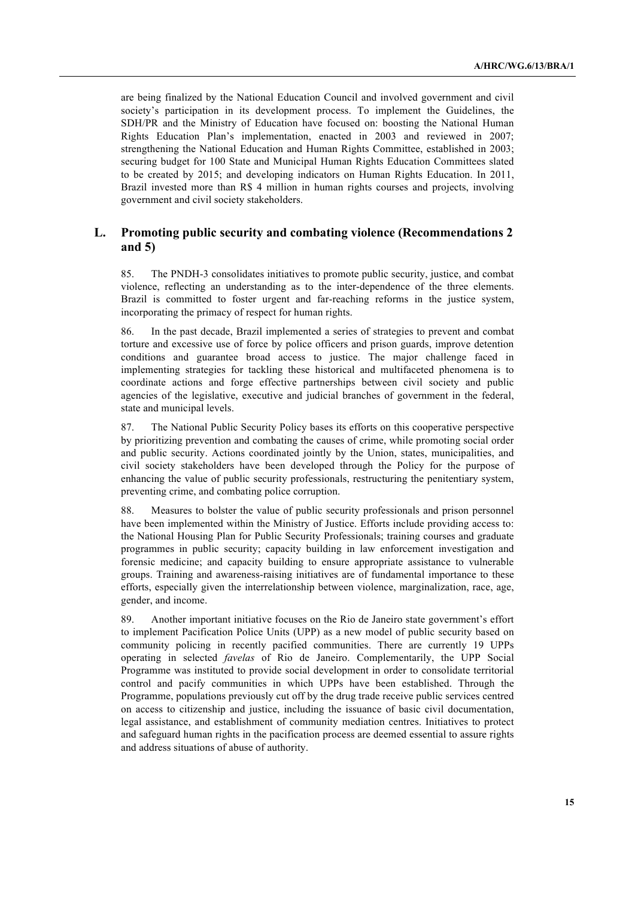are being finalized by the National Education Council and involved government and civil society's participation in its development process. To implement the Guidelines, the SDH/PR and the Ministry of Education have focused on: boosting the National Human Rights Education Plan's implementation, enacted in 2003 and reviewed in 2007; strengthening the National Education and Human Rights Committee, established in 2003; securing budget for 100 State and Municipal Human Rights Education Committees slated to be created by 2015; and developing indicators on Human Rights Education. In 2011, Brazil invested more than R\$ 4 million in human rights courses and projects, involving government and civil society stakeholders.

# **L. Promoting public security and combating violence (Recommendations 2 and 5)**

85. The PNDH-3 consolidates initiatives to promote public security, justice, and combat violence, reflecting an understanding as to the inter-dependence of the three elements. Brazil is committed to foster urgent and far-reaching reforms in the justice system, incorporating the primacy of respect for human rights.

86. In the past decade, Brazil implemented a series of strategies to prevent and combat torture and excessive use of force by police officers and prison guards, improve detention conditions and guarantee broad access to justice. The major challenge faced in implementing strategies for tackling these historical and multifaceted phenomena is to coordinate actions and forge effective partnerships between civil society and public agencies of the legislative, executive and judicial branches of government in the federal, state and municipal levels.

87. The National Public Security Policy bases its efforts on this cooperative perspective by prioritizing prevention and combating the causes of crime, while promoting social order and public security. Actions coordinated jointly by the Union, states, municipalities, and civil society stakeholders have been developed through the Policy for the purpose of enhancing the value of public security professionals, restructuring the penitentiary system, preventing crime, and combating police corruption.

88. Measures to bolster the value of public security professionals and prison personnel have been implemented within the Ministry of Justice. Efforts include providing access to: the National Housing Plan for Public Security Professionals; training courses and graduate programmes in public security; capacity building in law enforcement investigation and forensic medicine; and capacity building to ensure appropriate assistance to vulnerable groups. Training and awareness-raising initiatives are of fundamental importance to these efforts, especially given the interrelationship between violence, marginalization, race, age, gender, and income.

89. Another important initiative focuses on the Rio de Janeiro state government's effort to implement Pacification Police Units (UPP) as a new model of public security based on community policing in recently pacified communities. There are currently 19 UPPs operating in selected *favelas* of Rio de Janeiro. Complementarily, the UPP Social Programme was instituted to provide social development in order to consolidate territorial control and pacify communities in which UPPs have been established. Through the Programme, populations previously cut off by the drug trade receive public services centred on access to citizenship and justice, including the issuance of basic civil documentation, legal assistance, and establishment of community mediation centres. Initiatives to protect and safeguard human rights in the pacification process are deemed essential to assure rights and address situations of abuse of authority.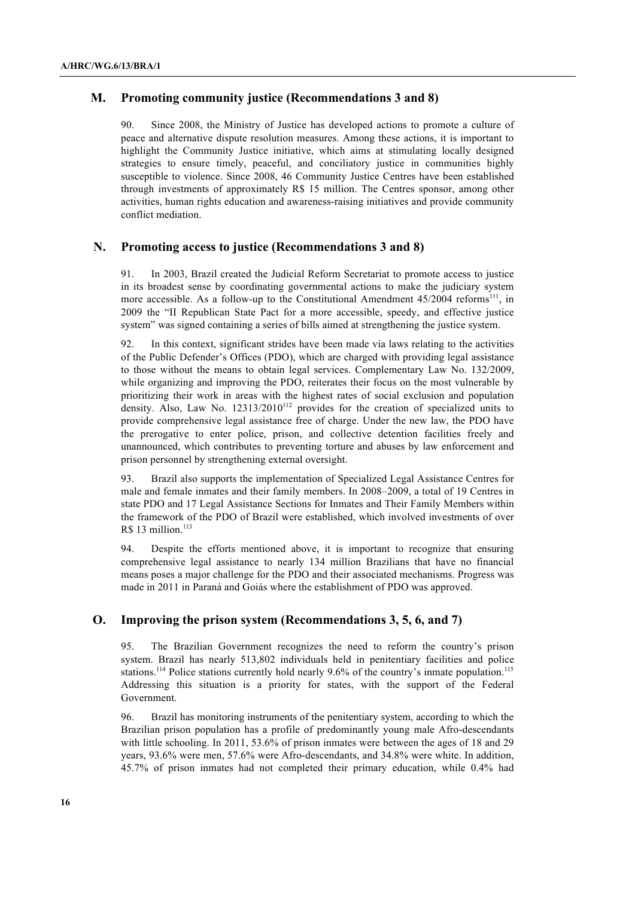### **M. Promoting community justice (Recommendations 3 and 8)**

90. Since 2008, the Ministry of Justice has developed actions to promote a culture of peace and alternative dispute resolution measures. Among these actions, it is important to highlight the Community Justice initiative, which aims at stimulating locally designed strategies to ensure timely, peaceful, and conciliatory justice in communities highly susceptible to violence. Since 2008, 46 Community Justice Centres have been established through investments of approximately R\$ 15 million. The Centres sponsor, among other activities, human rights education and awareness-raising initiatives and provide community conflict mediation.

### **N. Promoting access to justice (Recommendations 3 and 8)**

91. In 2003, Brazil created the Judicial Reform Secretariat to promote access to justice in its broadest sense by coordinating governmental actions to make the judiciary system more accessible. As a follow-up to the Constitutional Amendment  $45/2004$  reforms<sup>111</sup>, in 2009 the "II Republican State Pact for a more accessible, speedy, and effective justice system" was signed containing a series of bills aimed at strengthening the justice system.

92. In this context, significant strides have been made via laws relating to the activities of the Public Defender's Offices (PDO), which are charged with providing legal assistance to those without the means to obtain legal services. Complementary Law No. 132/2009, while organizing and improving the PDO, reiterates their focus on the most vulnerable by prioritizing their work in areas with the highest rates of social exclusion and population density. Also, Law No. 12313/2010<sup>112</sup> provides for the creation of specialized units to provide comprehensive legal assistance free of charge. Under the new law, the PDO have the prerogative to enter police, prison, and collective detention facilities freely and unannounced, which contributes to preventing torture and abuses by law enforcement and prison personnel by strengthening external oversight.

93. Brazil also supports the implementation of Specialized Legal Assistance Centres for male and female inmates and their family members. In 2008–2009, a total of 19 Centres in state PDO and 17 Legal Assistance Sections for Inmates and Their Family Members within the framework of the PDO of Brazil were established, which involved investments of over R\$ 13 million.<sup>113</sup>

94. Despite the efforts mentioned above, it is important to recognize that ensuring comprehensive legal assistance to nearly 134 million Brazilians that have no financial means poses a major challenge for the PDO and their associated mechanisms. Progress was made in 2011 in Paraná and Goiás where the establishment of PDO was approved.

#### **O. Improving the prison system (Recommendations 3, 5, 6, and 7)**

95. The Brazilian Government recognizes the need to reform the country's prison system. Brazil has nearly 513,802 individuals held in penitentiary facilities and police stations.<sup>114</sup> Police stations currently hold nearly 9.6% of the country's inmate population.<sup>115</sup> Addressing this situation is a priority for states, with the support of the Federal Government.

96. Brazil has monitoring instruments of the penitentiary system, according to which the Brazilian prison population has a profile of predominantly young male Afro-descendants with little schooling. In 2011, 53.6% of prison inmates were between the ages of 18 and 29 years, 93.6% were men, 57.6% were Afro-descendants, and 34.8% were white. In addition, 45.7% of prison inmates had not completed their primary education, while 0.4% had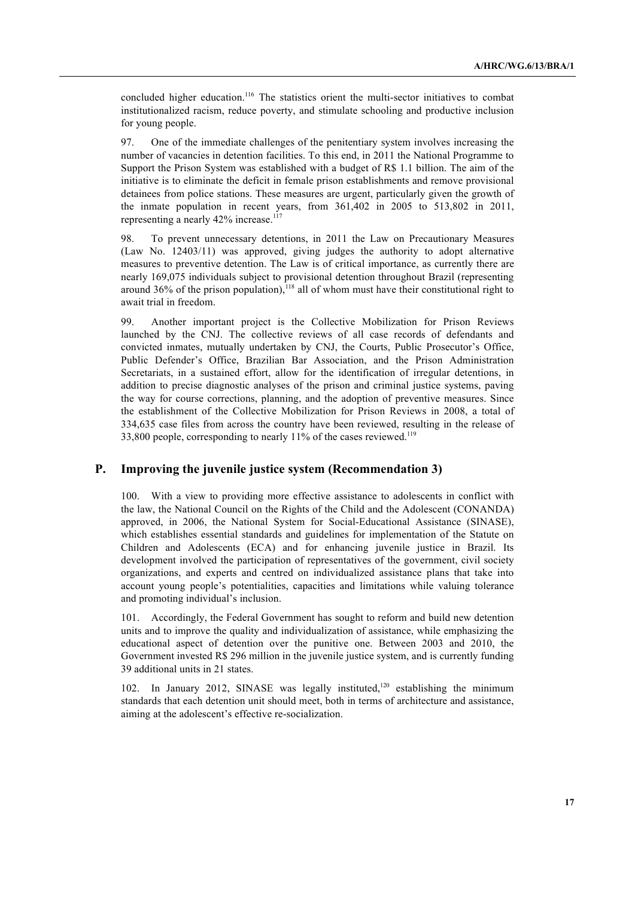concluded higher education.<sup>116</sup> The statistics orient the multi-sector initiatives to combat institutionalized racism, reduce poverty, and stimulate schooling and productive inclusion for young people.

97. One of the immediate challenges of the penitentiary system involves increasing the number of vacancies in detention facilities. To this end, in 2011 the National Programme to Support the Prison System was established with a budget of R\$ 1.1 billion. The aim of the initiative is to eliminate the deficit in female prison establishments and remove provisional detainees from police stations. These measures are urgent, particularly given the growth of the inmate population in recent years, from 361,402 in 2005 to 513,802 in 2011, representing a nearly 42% increase.<sup>117</sup>

98. To prevent unnecessary detentions, in 2011 the Law on Precautionary Measures (Law No. 12403/11) was approved, giving judges the authority to adopt alternative measures to preventive detention. The Law is of critical importance, as currently there are nearly 169,075 individuals subject to provisional detention throughout Brazil (representing around 36% of the prison population), $^{118}$  all of whom must have their constitutional right to await trial in freedom.

99. Another important project is the Collective Mobilization for Prison Reviews launched by the CNJ. The collective reviews of all case records of defendants and convicted inmates, mutually undertaken by CNJ, the Courts, Public Prosecutor's Office, Public Defender's Office, Brazilian Bar Association, and the Prison Administration Secretariats, in a sustained effort, allow for the identification of irregular detentions, in addition to precise diagnostic analyses of the prison and criminal justice systems, paving the way for course corrections, planning, and the adoption of preventive measures. Since the establishment of the Collective Mobilization for Prison Reviews in 2008, a total of 334,635 case files from across the country have been reviewed, resulting in the release of 33,800 people, corresponding to nearly  $11\%$  of the cases reviewed.<sup>119</sup>

### **P. Improving the juvenile justice system (Recommendation 3)**

100. With a view to providing more effective assistance to adolescents in conflict with the law, the National Council on the Rights of the Child and the Adolescent (CONANDA) approved, in 2006, the National System for Social-Educational Assistance (SINASE), which establishes essential standards and guidelines for implementation of the Statute on Children and Adolescents (ECA) and for enhancing juvenile justice in Brazil. Its development involved the participation of representatives of the government, civil society organizations, and experts and centred on individualized assistance plans that take into account young people's potentialities, capacities and limitations while valuing tolerance and promoting individual's inclusion.

101. Accordingly, the Federal Government has sought to reform and build new detention units and to improve the quality and individualization of assistance, while emphasizing the educational aspect of detention over the punitive one. Between 2003 and 2010, the Government invested R\$ 296 million in the juvenile justice system, and is currently funding 39 additional units in 21 states.

102. In January 2012, SINASE was legally instituted,<sup>120</sup> establishing the minimum standards that each detention unit should meet, both in terms of architecture and assistance, aiming at the adolescent's effective re-socialization.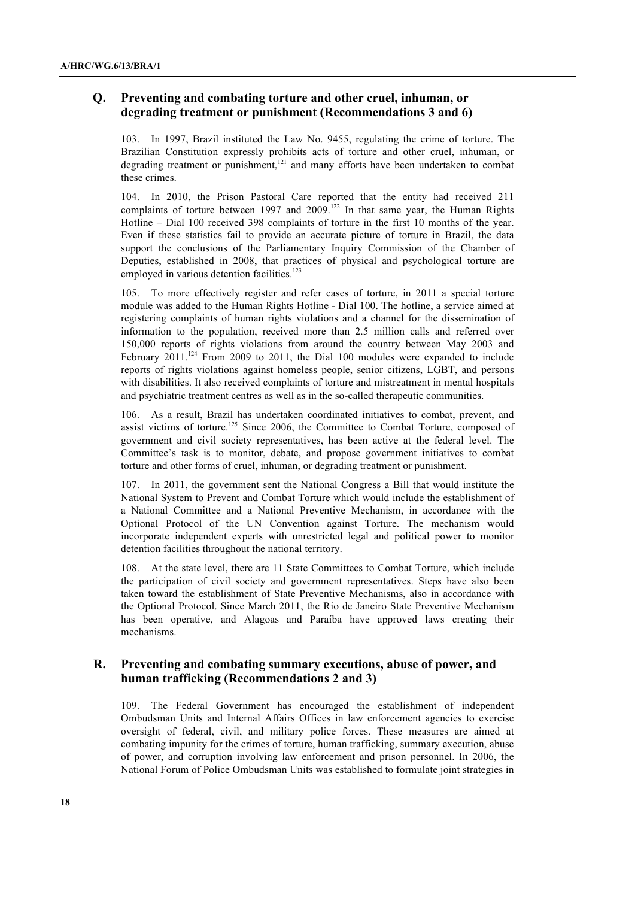# **Q. Preventing and combating torture and other cruel, inhuman, or degrading treatment or punishment (Recommendations 3 and 6)**

103. In 1997, Brazil instituted the Law No. 9455, regulating the crime of torture. The Brazilian Constitution expressly prohibits acts of torture and other cruel, inhuman, or degrading treatment or punishment,<sup>121</sup> and many efforts have been undertaken to combat these crimes.

104. In 2010, the Prison Pastoral Care reported that the entity had received 211 complaints of torture between 1997 and 2009.<sup>122</sup> In that same year, the Human Rights Hotline – Dial 100 received 398 complaints of torture in the first 10 months of the year. Even if these statistics fail to provide an accurate picture of torture in Brazil, the data support the conclusions of the Parliamentary Inquiry Commission of the Chamber of Deputies, established in 2008, that practices of physical and psychological torture are employed in various detention facilities.<sup>123</sup>

105. To more effectively register and refer cases of torture, in 2011 a special torture module was added to the Human Rights Hotline - Dial 100. The hotline, a service aimed at registering complaints of human rights violations and a channel for the dissemination of information to the population, received more than 2.5 million calls and referred over 150,000 reports of rights violations from around the country between May 2003 and February 2011.<sup>124</sup> From 2009 to 2011, the Dial 100 modules were expanded to include reports of rights violations against homeless people, senior citizens, LGBT, and persons with disabilities. It also received complaints of torture and mistreatment in mental hospitals and psychiatric treatment centres as well as in the so-called therapeutic communities.

106. As a result, Brazil has undertaken coordinated initiatives to combat, prevent, and assist victims of torture.<sup>125</sup> Since 2006, the Committee to Combat Torture, composed of government and civil society representatives, has been active at the federal level. The Committee's task is to monitor, debate, and propose government initiatives to combat torture and other forms of cruel, inhuman, or degrading treatment or punishment.

107. In 2011, the government sent the National Congress a Bill that would institute the National System to Prevent and Combat Torture which would include the establishment of a National Committee and a National Preventive Mechanism, in accordance with the Optional Protocol of the UN Convention against Torture. The mechanism would incorporate independent experts with unrestricted legal and political power to monitor detention facilities throughout the national territory.

108. At the state level, there are 11 State Committees to Combat Torture, which include the participation of civil society and government representatives. Steps have also been taken toward the establishment of State Preventive Mechanisms, also in accordance with the Optional Protocol. Since March 2011, the Rio de Janeiro State Preventive Mechanism has been operative, and Alagoas and Paraíba have approved laws creating their mechanisms.

## **R. Preventing and combating summary executions, abuse of power, and human trafficking (Recommendations 2 and 3)**

109. The Federal Government has encouraged the establishment of independent Ombudsman Units and Internal Affairs Offices in law enforcement agencies to exercise oversight of federal, civil, and military police forces. These measures are aimed at combating impunity for the crimes of torture, human trafficking, summary execution, abuse of power, and corruption involving law enforcement and prison personnel. In 2006, the National Forum of Police Ombudsman Units was established to formulate joint strategies in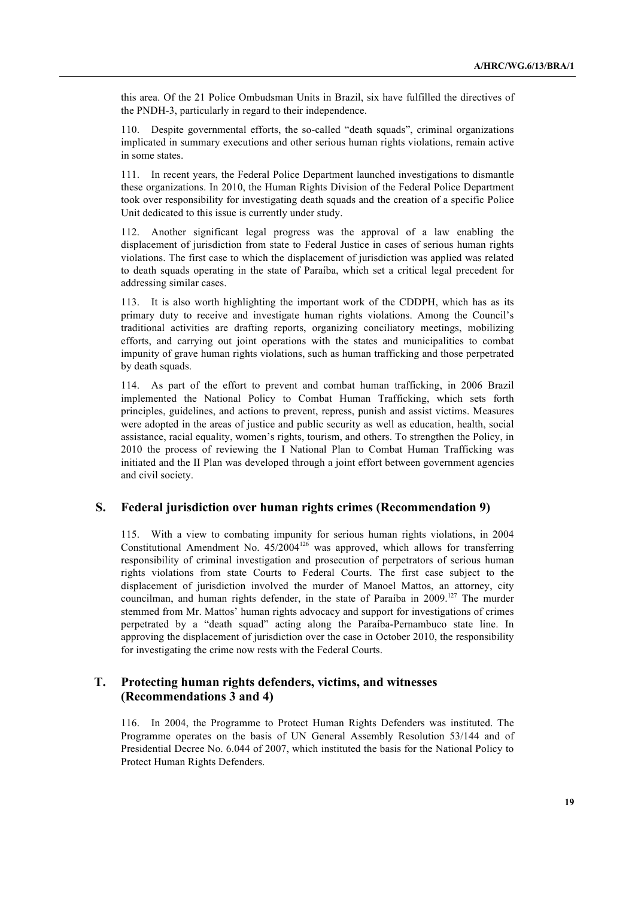this area. Of the 21 Police Ombudsman Units in Brazil, six have fulfilled the directives of the PNDH-3, particularly in regard to their independence.

110. Despite governmental efforts, the so-called "death squads", criminal organizations implicated in summary executions and other serious human rights violations, remain active in some states.

111. In recent years, the Federal Police Department launched investigations to dismantle these organizations. In 2010, the Human Rights Division of the Federal Police Department took over responsibility for investigating death squads and the creation of a specific Police Unit dedicated to this issue is currently under study.

112. Another significant legal progress was the approval of a law enabling the displacement of jurisdiction from state to Federal Justice in cases of serious human rights violations. The first case to which the displacement of jurisdiction was applied was related to death squads operating in the state of Paraíba, which set a critical legal precedent for addressing similar cases.

113. It is also worth highlighting the important work of the CDDPH, which has as its primary duty to receive and investigate human rights violations. Among the Council's traditional activities are drafting reports, organizing conciliatory meetings, mobilizing efforts, and carrying out joint operations with the states and municipalities to combat impunity of grave human rights violations, such as human trafficking and those perpetrated by death squads.

114. As part of the effort to prevent and combat human trafficking, in 2006 Brazil implemented the National Policy to Combat Human Trafficking, which sets forth principles, guidelines, and actions to prevent, repress, punish and assist victims. Measures were adopted in the areas of justice and public security as well as education, health, social assistance, racial equality, women's rights, tourism, and others. To strengthen the Policy, in 2010 the process of reviewing the I National Plan to Combat Human Trafficking was initiated and the II Plan was developed through a joint effort between government agencies and civil society.

### **S. Federal jurisdiction over human rights crimes (Recommendation 9)**

115. With a view to combating impunity for serious human rights violations, in 2004 Constitutional Amendment No.  $45/2004^{126}$  was approved, which allows for transferring responsibility of criminal investigation and prosecution of perpetrators of serious human rights violations from state Courts to Federal Courts. The first case subject to the displacement of jurisdiction involved the murder of Manoel Mattos, an attorney, city councilman, and human rights defender, in the state of Paraíba in  $2009$ .<sup>127</sup> The murder stemmed from Mr. Mattos' human rights advocacy and support for investigations of crimes perpetrated by a "death squad" acting along the Paraíba-Pernambuco state line. In approving the displacement of jurisdiction over the case in October 2010, the responsibility for investigating the crime now rests with the Federal Courts.

# **T. Protecting human rights defenders, victims, and witnesses (Recommendations 3 and 4)**

116. In 2004, the Programme to Protect Human Rights Defenders was instituted. The Programme operates on the basis of UN General Assembly Resolution 53/144 and of Presidential Decree No. 6.044 of 2007, which instituted the basis for the National Policy to Protect Human Rights Defenders.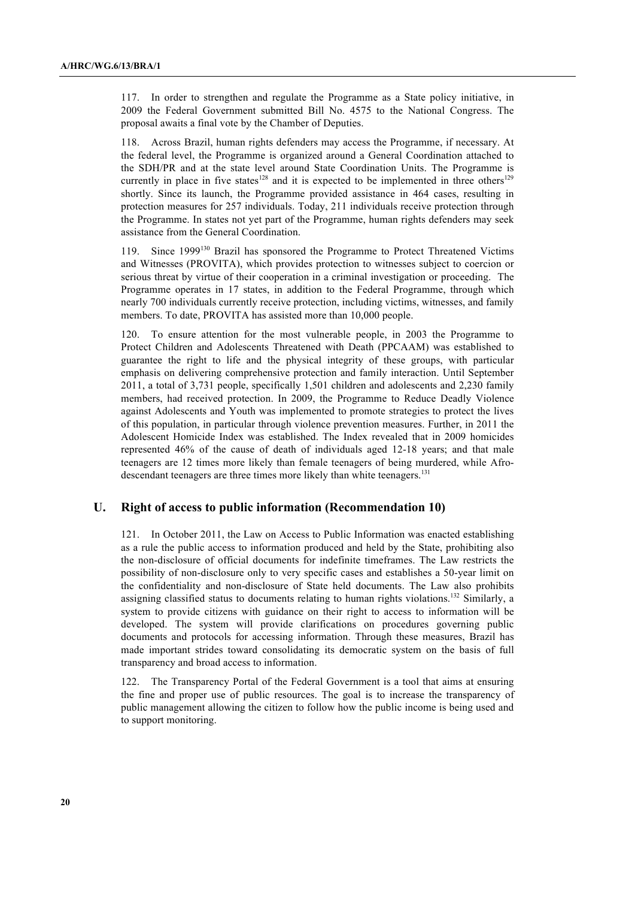117. In order to strengthen and regulate the Programme as a State policy initiative, in 2009 the Federal Government submitted Bill No. 4575 to the National Congress. The proposal awaits a final vote by the Chamber of Deputies.

118. Across Brazil, human rights defenders may access the Programme, if necessary. At the federal level, the Programme is organized around a General Coordination attached to the SDH/PR and at the state level around State Coordination Units. The Programme is currently in place in five states<sup>128</sup> and it is expected to be implemented in three others<sup>129</sup> shortly. Since its launch, the Programme provided assistance in 464 cases, resulting in protection measures for 257 individuals. Today, 211 individuals receive protection through the Programme. In states not yet part of the Programme, human rights defenders may seek assistance from the General Coordination.

119. Since 1999130 Brazil has sponsored the Programme to Protect Threatened Victims and Witnesses (PROVITA), which provides protection to witnesses subject to coercion or serious threat by virtue of their cooperation in a criminal investigation or proceeding. The Programme operates in 17 states, in addition to the Federal Programme, through which nearly 700 individuals currently receive protection, including victims, witnesses, and family members. To date, PROVITA has assisted more than 10,000 people.

120. To ensure attention for the most vulnerable people, in 2003 the Programme to Protect Children and Adolescents Threatened with Death (PPCAAM) was established to guarantee the right to life and the physical integrity of these groups, with particular emphasis on delivering comprehensive protection and family interaction. Until September 2011, a total of 3,731 people, specifically 1,501 children and adolescents and 2,230 family members, had received protection. In 2009, the Programme to Reduce Deadly Violence against Adolescents and Youth was implemented to promote strategies to protect the lives of this population, in particular through violence prevention measures. Further, in 2011 the Adolescent Homicide Index was established. The Index revealed that in 2009 homicides represented 46% of the cause of death of individuals aged 12-18 years; and that male teenagers are 12 times more likely than female teenagers of being murdered, while Afrodescendant teenagers are three times more likely than white teenagers.<sup>131</sup>

### **U. Right of access to public information (Recommendation 10)**

121. In October 2011, the Law on Access to Public Information was enacted establishing as a rule the public access to information produced and held by the State, prohibiting also the non-disclosure of official documents for indefinite timeframes. The Law restricts the possibility of non-disclosure only to very specific cases and establishes a 50-year limit on the confidentiality and non-disclosure of State held documents. The Law also prohibits assigning classified status to documents relating to human rights violations.<sup>132</sup> Similarly, a system to provide citizens with guidance on their right to access to information will be developed. The system will provide clarifications on procedures governing public documents and protocols for accessing information. Through these measures, Brazil has made important strides toward consolidating its democratic system on the basis of full transparency and broad access to information.

122. The Transparency Portal of the Federal Government is a tool that aims at ensuring the fine and proper use of public resources. The goal is to increase the transparency of public management allowing the citizen to follow how the public income is being used and to support monitoring.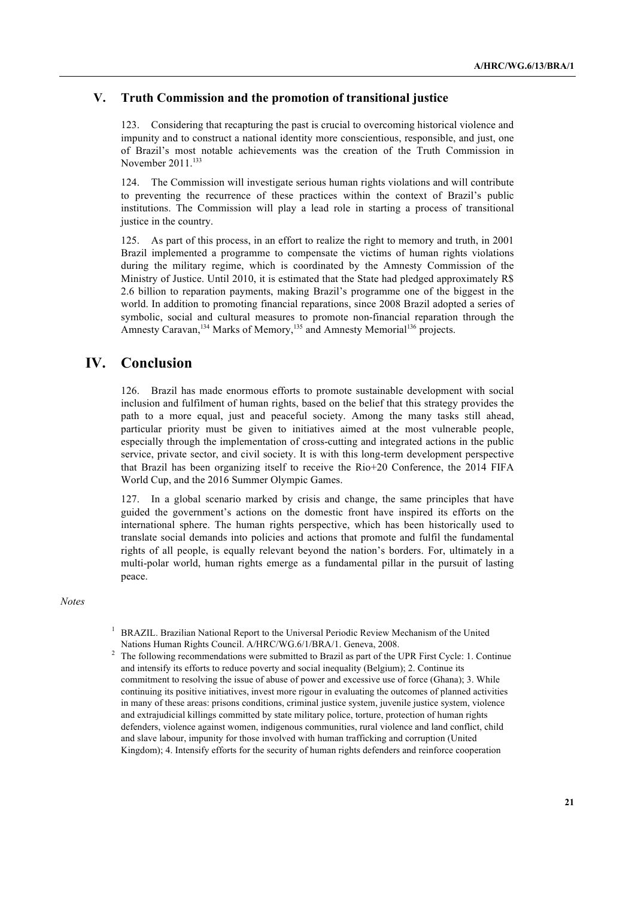# **V. Truth Commission and the promotion of transitional justice**

123. Considering that recapturing the past is crucial to overcoming historical violence and impunity and to construct a national identity more conscientious, responsible, and just, one of Brazil's most notable achievements was the creation of the Truth Commission in November 2011.<sup>133</sup>

124. The Commission will investigate serious human rights violations and will contribute to preventing the recurrence of these practices within the context of Brazil's public institutions. The Commission will play a lead role in starting a process of transitional justice in the country.

125. As part of this process, in an effort to realize the right to memory and truth, in 2001 Brazil implemented a programme to compensate the victims of human rights violations during the military regime, which is coordinated by the Amnesty Commission of the Ministry of Justice. Until 2010, it is estimated that the State had pledged approximately R\$ 2.6 billion to reparation payments, making Brazil's programme one of the biggest in the world. In addition to promoting financial reparations, since 2008 Brazil adopted a series of symbolic, social and cultural measures to promote non-financial reparation through the Amnesty Caravan,<sup>134</sup> Marks of Memory,<sup>135</sup> and Amnesty Memorial<sup>136</sup> projects.

# **IV. Conclusion**

126. Brazil has made enormous efforts to promote sustainable development with social inclusion and fulfilment of human rights, based on the belief that this strategy provides the path to a more equal, just and peaceful society. Among the many tasks still ahead, particular priority must be given to initiatives aimed at the most vulnerable people, especially through the implementation of cross-cutting and integrated actions in the public service, private sector, and civil society. It is with this long-term development perspective that Brazil has been organizing itself to receive the Rio+20 Conference, the 2014 FIFA World Cup, and the 2016 Summer Olympic Games.

127. In a global scenario marked by crisis and change, the same principles that have guided the government's actions on the domestic front have inspired its efforts on the international sphere. The human rights perspective, which has been historically used to translate social demands into policies and actions that promote and fulfil the fundamental rights of all people, is equally relevant beyond the nation's borders. For, ultimately in a multi-polar world, human rights emerge as a fundamental pillar in the pursuit of lasting peace.

*Notes*

<sup>2</sup> The following recommendations were submitted to Brazil as part of the UPR First Cycle: 1. Continue and intensify its efforts to reduce poverty and social inequality (Belgium); 2. Continue its commitment to resolving the issue of abuse of power and excessive use of force (Ghana); 3. While continuing its positive initiatives, invest more rigour in evaluating the outcomes of planned activities in many of these areas: prisons conditions, criminal justice system, juvenile justice system, violence and extrajudicial killings committed by state military police, torture, protection of human rights defenders, violence against women, indigenous communities, rural violence and land conflict, child and slave labour, impunity for those involved with human trafficking and corruption (United Kingdom); 4. Intensify efforts for the security of human rights defenders and reinforce cooperation

<sup>1</sup> BRAZIL. Brazilian National Report to the Universal Periodic Review Mechanism of the United Nations Human Rights Council. A/HRC/WG.6/1/BRA/1. Geneva, 2008.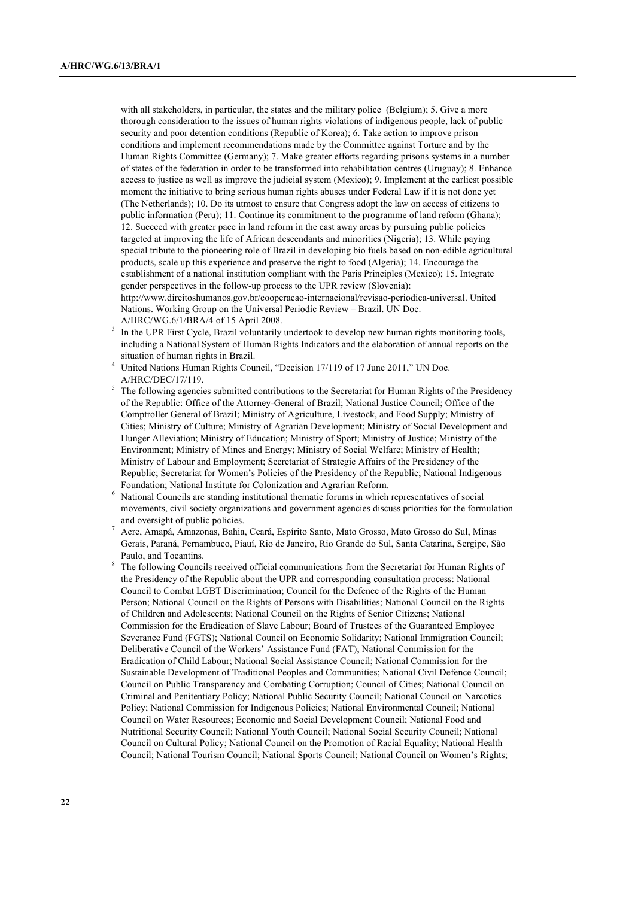with all stakeholders, in particular, the states and the military police (Belgium); 5. Give a more thorough consideration to the issues of human rights violations of indigenous people, lack of public security and poor detention conditions (Republic of Korea); 6. Take action to improve prison conditions and implement recommendations made by the Committee against Torture and by the Human Rights Committee (Germany); 7. Make greater efforts regarding prisons systems in a number of states of the federation in order to be transformed into rehabilitation centres (Uruguay); 8. Enhance access to justice as well as improve the judicial system (Mexico); 9. Implement at the earliest possible moment the initiative to bring serious human rights abuses under Federal Law if it is not done yet (The Netherlands); 10. Do its utmost to ensure that Congress adopt the law on access of citizens to public information (Peru); 11. Continue its commitment to the programme of land reform (Ghana); 12. Succeed with greater pace in land reform in the cast away areas by pursuing public policies targeted at improving the life of African descendants and minorities (Nigeria); 13. While paying special tribute to the pioneering role of Brazil in developing bio fuels based on non-edible agricultural products, scale up this experience and preserve the right to food (Algeria); 14. Encourage the establishment of a national institution compliant with the Paris Principles (Mexico); 15. Integrate gender perspectives in the follow-up process to the UPR review (Slovenia): http://www.direitoshumanos.gov.br/cooperacao-internacional/revisao-periodica-universal. United Nations. Working Group on the Universal Periodic Review – Brazil. UN Doc. A/HRC/WG.6/1/BRA/4 of 15 April 2008.

- <sup>3</sup> In the UPR First Cycle, Brazil voluntarily undertook to develop new human rights monitoring tools, including a National System of Human Rights Indicators and the elaboration of annual reports on the situation of human rights in Brazil.
- United Nations Human Rights Council, "Decision 17/119 of 17 June 2011," UN Doc. A/HRC/DEC/17/119.
- <sup>5</sup> The following agencies submitted contributions to the Secretariat for Human Rights of the Presidency of the Republic: Office of the Attorney-General of Brazil; National Justice Council; Office of the Comptroller General of Brazil; Ministry of Agriculture, Livestock, and Food Supply; Ministry of Cities; Ministry of Culture; Ministry of Agrarian Development; Ministry of Social Development and Hunger Alleviation; Ministry of Education; Ministry of Sport; Ministry of Justice; Ministry of the Environment; Ministry of Mines and Energy; Ministry of Social Welfare; Ministry of Health; Ministry of Labour and Employment; Secretariat of Strategic Affairs of the Presidency of the Republic; Secretariat for Women's Policies of the Presidency of the Republic; National Indigenous Foundation; National Institute for Colonization and Agrarian Reform.
- <sup>6</sup> National Councils are standing institutional thematic forums in which representatives of social movements, civil society organizations and government agencies discuss priorities for the formulation and oversight of public policies.
- <sup>7</sup> Acre, Amapá, Amazonas, Bahia, Ceará, Espírito Santo, Mato Grosso, Mato Grosso do Sul, Minas Gerais, Paraná, Pernambuco, Piauí, Rio de Janeiro, Rio Grande do Sul, Santa Catarina, Sergipe, São Paulo, and Tocantins.
- <sup>8</sup> The following Councils received official communications from the Secretariat for Human Rights of the Presidency of the Republic about the UPR and corresponding consultation process: National Council to Combat LGBT Discrimination; Council for the Defence of the Rights of the Human Person; National Council on the Rights of Persons with Disabilities; National Council on the Rights of Children and Adolescents; National Council on the Rights of Senior Citizens; National Commission for the Eradication of Slave Labour; Board of Trustees of the Guaranteed Employee Severance Fund (FGTS); National Council on Economic Solidarity; National Immigration Council; Deliberative Council of the Workers' Assistance Fund (FAT); National Commission for the Eradication of Child Labour; National Social Assistance Council; National Commission for the Sustainable Development of Traditional Peoples and Communities; National Civil Defence Council; Council on Public Transparency and Combating Corruption; Council of Cities; National Council on Criminal and Penitentiary Policy; National Public Security Council; National Council on Narcotics Policy; National Commission for Indigenous Policies; National Environmental Council; National Council on Water Resources; Economic and Social Development Council; National Food and Nutritional Security Council; National Youth Council; National Social Security Council; National Council on Cultural Policy; National Council on the Promotion of Racial Equality; National Health Council; National Tourism Council; National Sports Council; National Council on Women's Rights;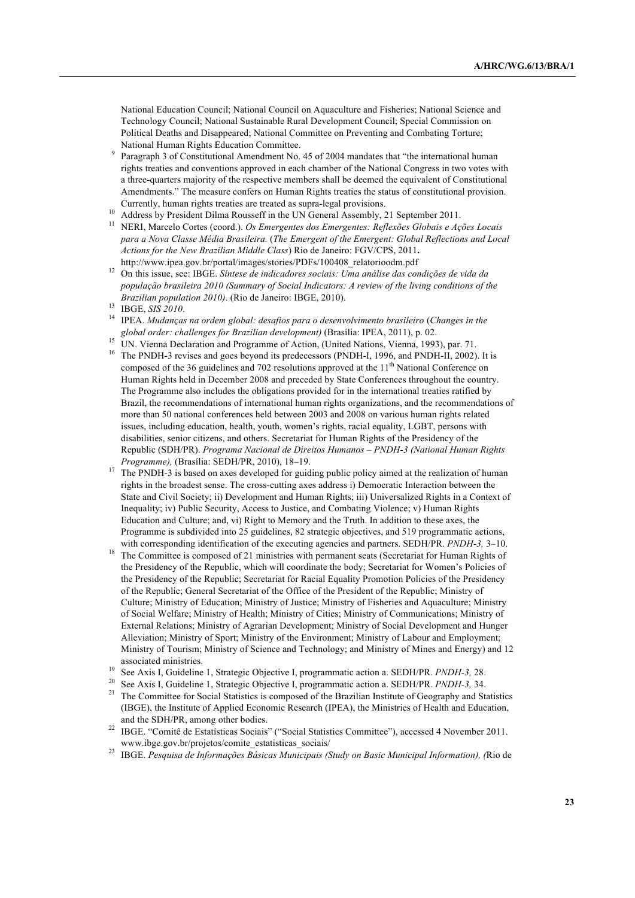National Education Council; National Council on Aquaculture and Fisheries; National Science and Technology Council; National Sustainable Rural Development Council; Special Commission on Political Deaths and Disappeared; National Committee on Preventing and Combating Torture; National Human Rights Education Committee.

- <sup>9</sup> Paragraph 3 of Constitutional Amendment No. 45 of 2004 mandates that "the international human rights treaties and conventions approved in each chamber of the National Congress in two votes with a three-quarters majority of the respective members shall be deemed the equivalent of Constitutional Amendments." The measure confers on Human Rights treaties the status of constitutional provision. Currently, human rights treaties are treated as supra-legal provisions.
- <sup>10</sup> Address by President Dilma Rousseff in the UN General Assembly, 21 September 2011.
- <sup>11</sup> NERI, Marcelo Cortes (coord.). *Os Emergentes dos Emergentes: Reflexões Globais e Ações Locais para a Nova Classe Média Brasileira.* (*The Emergent of the Emergent: Global Reflections and Local Actions for the New Brazilian Middle Class*) Rio de Janeiro: FGV/CPS, 2011**.** http://www.ipea.gov.br/portal/images/stories/PDFs/100408\_relatorioodm.pdf
- <sup>12</sup> On this issue, see: IBGE. *Síntese de indicadores sociais: Uma análise das condições de vida da população brasileira 2010 (Summary of Social Indicators: A review of the living conditions of the Brazilian population 2010)*. (Rio de Janeiro: IBGE, 2010).
- <sup>13</sup> IBGE, *SIS 2010*.
- <sup>14</sup> IPEA. *Mudanças na ordem global: desafios para o desenvolvimento brasileiro* (*Changes in the global order: challenges for Brazilian development)* (Brasília: IPEA, 2011), p. 02.
- <sup>15</sup> UN. Vienna Declaration and Programme of Action, (United Nations, Vienna, 1993), par. 71. <sup>16</sup> The PNDH-3 revises and goes beyond its predecessors (PNDH-I, 1996, and PNDH-II, 2002). It is composed of the 36 guidelines and 702 resolutions approved at the 11<sup>th</sup> National Conference on Human Rights held in December 2008 and preceded by State Conferences throughout the country. The Programme also includes the obligations provided for in the international treaties ratified by Brazil, the recommendations of international human rights organizations, and the recommendations of more than 50 national conferences held between 2003 and 2008 on various human rights related issues, including education, health, youth, women's rights, racial equality, LGBT, persons with disabilities, senior citizens, and others. Secretariat for Human Rights of the Presidency of the Republic (SDH/PR). *Programa Nacional de Direitos Humanos – PNDH-3 (National Human Rights Programme),* (Brasília: SEDH/PR, 2010), 18–19.
- <sup>17</sup> The PNDH-3 is based on axes developed for guiding public policy aimed at the realization of human rights in the broadest sense. The cross-cutting axes address i) Democratic Interaction between the State and Civil Society; ii) Development and Human Rights; iii) Universalized Rights in a Context of Inequality; iv) Public Security, Access to Justice, and Combating Violence; v) Human Rights Education and Culture; and, vi) Right to Memory and the Truth. In addition to these axes, the Programme is subdivided into 25 guidelines, 82 strategic objectives, and 519 programmatic actions, with corresponding identification of the executing agencies and partners. SEDH/PR. *PNDH-3,* 3–10.
- <sup>18</sup> The Committee is composed of 21 ministries with permanent seats (Secretariat for Human Rights of the Presidency of the Republic, which will coordinate the body; Secretariat for Women's Policies of the Presidency of the Republic; Secretariat for Racial Equality Promotion Policies of the Presidency of the Republic; General Secretariat of the Office of the President of the Republic; Ministry of Culture; Ministry of Education; Ministry of Justice; Ministry of Fisheries and Aquaculture; Ministry of Social Welfare; Ministry of Health; Ministry of Cities; Ministry of Communications; Ministry of External Relations; Ministry of Agrarian Development; Ministry of Social Development and Hunger Alleviation; Ministry of Sport; Ministry of the Environment; Ministry of Labour and Employment; Ministry of Tourism; Ministry of Science and Technology; and Ministry of Mines and Energy) and 12 associated ministries.
- <sup>19</sup> See Axis I, Guideline 1, Strategic Objective I, programmatic action a. SEDH/PR. *PNDH-3,* 28.
- <sup>20</sup> See Axis I, Guideline 1, Strategic Objective I, programmatic action a. SEDH/PR. *PNDH-3,* 34.
- <sup>21</sup> The Committee for Social Statistics is composed of the Brazilian Institute of Geography and Statistics (IBGE), the Institute of Applied Economic Research (IPEA), the Ministries of Health and Education, and the SDH/PR, among other bodies.
- <sup>22</sup> IBGE. "Comitê de Estatísticas Sociais" ("Social Statistics Committee"), accessed 4 November 2011. www.ibge.gov.br/projetos/comite\_estatisticas\_sociais/
- <sup>23</sup> IBGE. *Pesquisa de Informações Básicas Municipais (Study on Basic Municipal Information), (*Rio de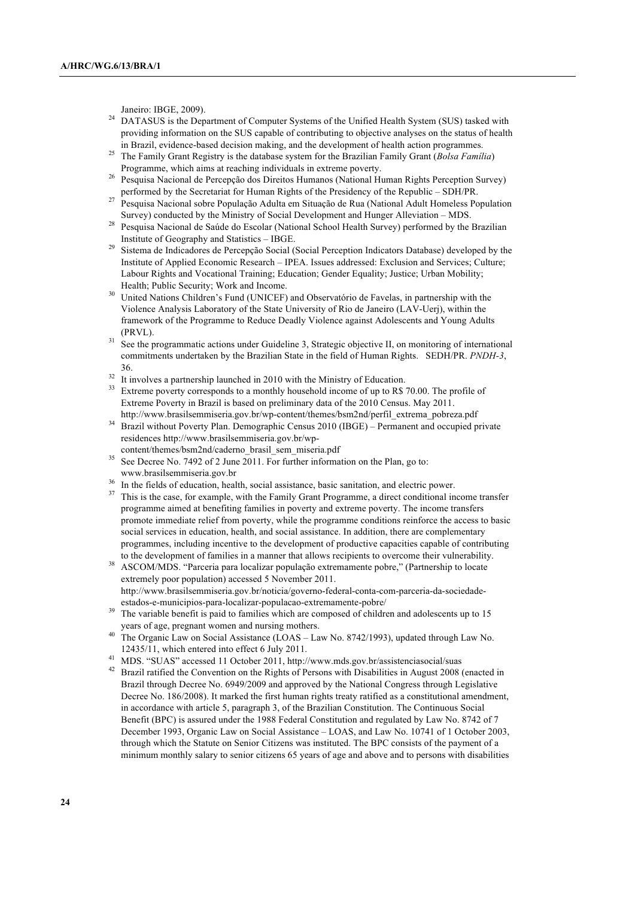Janeiro: IBGE, 2009).

- <sup>24</sup> DATASUS is the Department of Computer Systems of the Unified Health System (SUS) tasked with providing information on the SUS capable of contributing to objective analyses on the status of health in Brazil, evidence-based decision making, and the development of health action programmes.
- <sup>25</sup> The Family Grant Registry is the database system for the Brazilian Family Grant (*Bolsa Família*) Programme, which aims at reaching individuals in extreme poverty.
- <sup>26</sup> Pesquisa Nacional de Percepção dos Direitos Humanos (National Human Rights Perception Survey) performed by the Secretariat for Human Rights of the Presidency of the Republic – SDH/PR.
- <sup>27</sup> Pesquisa Nacional sobre População Adulta em Situação de Rua (National Adult Homeless Population Survey) conducted by the Ministry of Social Development and Hunger Alleviation – MDS.
- <sup>28</sup> Pesquisa Nacional de Saúde do Escolar (National School Health Survey) performed by the Brazilian Institute of Geography and Statistics – IBGE.
- <sup>29</sup> Sistema de Indicadores de Percepção Social (Social Perception Indicators Database) developed by the Institute of Applied Economic Research – IPEA. Issues addressed: Exclusion and Services; Culture; Labour Rights and Vocational Training; Education; Gender Equality; Justice; Urban Mobility; Health; Public Security; Work and Income.
- <sup>30</sup> United Nations Children's Fund (UNICEF) and Observatório de Favelas, in partnership with the Violence Analysis Laboratory of the State University of Rio de Janeiro (LAV-Uerj), within the framework of the Programme to Reduce Deadly Violence against Adolescents and Young Adults (PRVL).
- See the programmatic actions under Guideline 3, Strategic objective II, on monitoring of international commitments undertaken by the Brazilian State in the field of Human Rights. SEDH/PR. *PNDH-3*, 36.
- $32$  It involves a partnership launched in 2010 with the Ministry of Education.
- <sup>33</sup> Extreme poverty corresponds to a monthly household income of up to R\$ 70.00. The profile of Extreme Poverty in Brazil is based on preliminary data of the 2010 Census. May 2011. http://www.brasilsemmiseria.gov.br/wp-content/themes/bsm2nd/perfil\_extrema\_pobreza.pdf
- <sup>34</sup> Brazil without Poverty Plan. Demographic Census 2010 (IBGE) Permanent and occupied private residences http://www.brasilsemmiseria.gov.br/wp-
- content/themes/bsm2nd/caderno\_brasil\_sem\_miseria.pdf
- <sup>35</sup> See Decree No. 7492 of 2 June 2011. For further information on the Plan, go to: www.brasilsemmiseria.gov.br
- In the fields of education, health, social assistance, basic sanitation, and electric power.
- <sup>37</sup> This is the case, for example, with the Family Grant Programme, a direct conditional income transfer programme aimed at benefiting families in poverty and extreme poverty. The income transfers promote immediate relief from poverty, while the programme conditions reinforce the access to basic social services in education, health, and social assistance. In addition, there are complementary programmes, including incentive to the development of productive capacities capable of contributing to the development of families in a manner that allows recipients to overcome their vulnerability.
- <sup>38</sup> ASCOM/MDS. "Parceria para localizar população extremamente pobre," (Partnership to locate extremely poor population) accessed 5 November 2011. http://www.brasilsemmiseria.gov.br/noticia/governo-federal-conta-com-parceria-da-sociedadeestados-e-municipios-para-localizar-populacao-extremamente-pobre/
- <sup>39</sup> The variable benefit is paid to families which are composed of children and adolescents up to 15 years of age, pregnant women and nursing mothers.
- <sup>40</sup> The Organic Law on Social Assistance (LOAS Law No. 8742/1993), updated through Law No. 12435/11, which entered into effect 6 July 2011.
- <sup>41</sup> MDS. "SUAS" accessed 11 October 2011, http://www.mds.gov.br/assistenciasocial/suas
- <sup>42</sup> Brazil ratified the Convention on the Rights of Persons with Disabilities in August 2008 (enacted in Brazil through Decree No. 6949/2009 and approved by the National Congress through Legislative Decree No. 186/2008). It marked the first human rights treaty ratified as a constitutional amendment, in accordance with article 5, paragraph 3, of the Brazilian Constitution. The Continuous Social Benefit (BPC) is assured under the 1988 Federal Constitution and regulated by Law No. 8742 of 7 December 1993, Organic Law on Social Assistance – LOAS, and Law No. 10741 of 1 October 2003, through which the Statute on Senior Citizens was instituted. The BPC consists of the payment of a minimum monthly salary to senior citizens 65 years of age and above and to persons with disabilities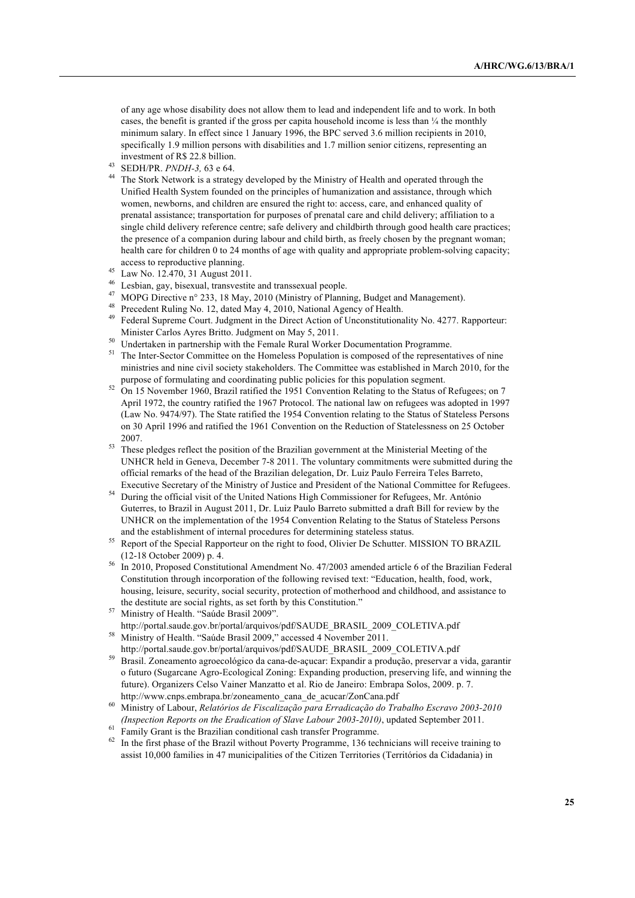of any age whose disability does not allow them to lead and independent life and to work. In both cases, the benefit is granted if the gross per capita household income is less than ¼ the monthly minimum salary. In effect since 1 January 1996, the BPC served 3.6 million recipients in 2010, specifically 1.9 million persons with disabilities and 1.7 million senior citizens, representing an investment of R\$ 22.8 billion.

<sup>43</sup> SEDH/PR. *PNDH-3,* 63 e 64.

<sup>44</sup> The Stork Network is a strategy developed by the Ministry of Health and operated through the Unified Health System founded on the principles of humanization and assistance, through which women, newborns, and children are ensured the right to: access, care, and enhanced quality of prenatal assistance; transportation for purposes of prenatal care and child delivery; affiliation to a single child delivery reference centre; safe delivery and childbirth through good health care practices; the presence of a companion during labour and child birth, as freely chosen by the pregnant woman; health care for children 0 to 24 months of age with quality and appropriate problem-solving capacity; access to reproductive planning.

- <sup>45</sup> Law No. 12.470, 31 August 2011.
- $^{46}$  Lesbian, gay, bisexual, transvestite and transsexual people.
- MOPG Directive n° 233, 18 May, 2010 (Ministry of Planning, Budget and Management).
- <sup>48</sup> Precedent Ruling No. 12, dated May 4, 2010, National Agency of Health.
- <sup>49</sup> Federal Supreme Court. Judgment in the Direct Action of Unconstitutionality No. 4277. Rapporteur: Minister Carlos Ayres Britto. Judgment on May 5, 2011.
- <sup>50</sup> Undertaken in partnership with the Female Rural Worker Documentation Programme.
- <sup>51</sup> The Inter-Sector Committee on the Homeless Population is composed of the representatives of nine ministries and nine civil society stakeholders. The Committee was established in March 2010, for the purpose of formulating and coordinating public policies for this population segment.
- <sup>52</sup> On 15 November 1960, Brazil ratified the 1951 Convention Relating to the Status of Refugees; on 7 April 1972, the country ratified the 1967 Protocol. The national law on refugees was adopted in 1997 (Law No. 9474/97). The State ratified the 1954 Convention relating to the Status of Stateless Persons on 30 April 1996 and ratified the 1961 Convention on the Reduction of Statelessness on 25 October 2007.
- <sup>53</sup> These pledges reflect the position of the Brazilian government at the Ministerial Meeting of the UNHCR held in Geneva, December 7-8 2011. The voluntary commitments were submitted during the official remarks of the head of the Brazilian delegation, Dr. Luiz Paulo Ferreira Teles Barreto, Executive Secretary of the Ministry of Justice and President of the National Committee for Refugees.
- <sup>54</sup> During the official visit of the United Nations High Commissioner for Refugees, Mr. António Guterres, to Brazil in August 2011, Dr. Luiz Paulo Barreto submitted a draft Bill for review by the UNHCR on the implementation of the 1954 Convention Relating to the Status of Stateless Persons and the establishment of internal procedures for determining stateless status.
- <sup>55</sup> Report of the Special Rapporteur on the right to food, Olivier De Schutter. MISSION TO BRAZIL (12-18 October 2009) p. 4.
- <sup>56</sup> In 2010, Proposed Constitutional Amendment No. 47/2003 amended article 6 of the Brazilian Federal Constitution through incorporation of the following revised text: "Education, health, food, work, housing, leisure, security, social security, protection of motherhood and childhood, and assistance to the destitute are social rights, as set forth by this Constitution."
- <sup>57</sup> Ministry of Health. "Saúde Brasil 2009". http://portal.saude.gov.br/portal/arquivos/pdf/SAUDE\_BRASIL\_2009\_COLETIVA.pdf
- $\frac{58}{100}$  Ministry of Health. "Saúde Brasil 2009." accessed 4 November 2011. http://portal.saude.gov.br/portal/arquivos/pdf/SAUDE\_BRASIL\_2009\_COLETIVA.pdf
- <sup>59</sup> Brasil. Zoneamento agroecológico da cana-de-açucar: Expandir a produção, preservar a vida, garantir o futuro (Sugarcane Agro-Ecological Zoning: Expanding production, preserving life, and winning the future). Organizers Celso Vainer Manzatto et al. Rio de Janeiro: Embrapa Solos, 2009. p. 7. http://www.cnps.embrapa.br/zoneamento\_cana\_de\_acucar/ZonCana.pdf
- <sup>60</sup> Ministry of Labour, *Relatórios de Fiscalização para Erradicação do Trabalho Escravo 2003-2010 (Inspection Reports on the Eradication of Slave Labour 2003-2010)*, updated September 2011.
- <sup>61</sup> Family Grant is the Brazilian conditional cash transfer Programme.
- $62$  In the first phase of the Brazil without Poverty Programme, 136 technicians will receive training to assist 10,000 families in 47 municipalities of the Citizen Territories (Territórios da Cidadania) in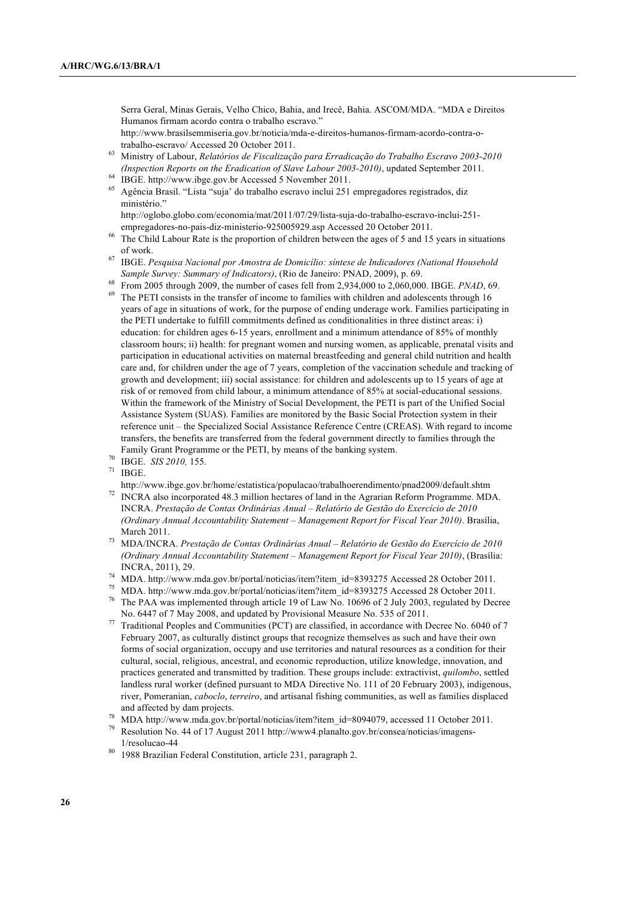Serra Geral, Minas Gerais, Velho Chico, Bahia, and Irecê, Bahia. ASCOM/MDA. "MDA e Direitos Humanos firmam acordo contra o trabalho escravo."

http://www.brasilsemmiseria.gov.br/noticia/mda-e-direitos-humanos-firmam-acordo-contra-otrabalho-escravo/ Accessed 20 October 2011.

- <sup>63</sup> Ministry of Labour, *Relatórios de Fiscalização para Erradicação do Trabalho Escravo 2003-2010 (Inspection Reports on the Eradication of Slave Labour 2003-2010)*, updated September 2011.
- IBGE. http://www.ibge.gov.br Accessed 5 November 2011.
- <sup>65</sup> Agência Brasil. "Lista "suja' do trabalho escravo inclui 251 empregadores registrados, diz ministério."

http://oglobo.globo.com/economia/mat/2011/07/29/lista-suja-do-trabalho-escravo-inclui-251 empregadores-no-pais-diz-ministerio-925005929.asp Accessed 20 October 2011.

- <sup>66</sup> The Child Labour Rate is the proportion of children between the ages of 5 and 15 years in situations of work.
- <sup>67</sup> IBGE. *Pesquisa Nacional por Amostra de Domicílio: síntese de Indicadores (National Household Sample Survey: Summary of Indicators)*, (Rio de Janeiro: PNAD, 2009), p. 69.
- <sup>68</sup> From 2005 through 2009, the number of cases fell from 2,934,000 to 2,060,000. IBGE. *PNAD*, 69.
- <sup>69</sup> The PETI consists in the transfer of income to families with children and adolescents through 16 years of age in situations of work, for the purpose of ending underage work. Families participating in the PETI undertake to fulfill commitments defined as conditionalities in three distinct areas: i) education: for children ages 6-15 years, enrollment and a minimum attendance of 85% of monthly classroom hours; ii) health: for pregnant women and nursing women, as applicable, prenatal visits and participation in educational activities on maternal breastfeeding and general child nutrition and health care and, for children under the age of 7 years, completion of the vaccination schedule and tracking of growth and development; iii) social assistance: for children and adolescents up to 15 years of age at risk of or removed from child labour, a minimum attendance of 85% at social-educational sessions. Within the framework of the Ministry of Social Development, the PETI is part of the Unified Social Assistance System (SUAS). Families are monitored by the Basic Social Protection system in their reference unit – the Specialized Social Assistance Reference Centre (CREAS). With regard to income transfers, the benefits are transferred from the federal government directly to families through the Family Grant Programme or the PETI, by means of the banking system.
- <sup>70</sup> IBGE. *SIS 2010,* 155.
- IBGE.
	- http://www.ibge.gov.br/home/estatistica/populacao/trabalhoerendimento/pnad2009/default.shtm
- <sup>72</sup> INCRA also incorporated 48.3 million hectares of land in the Agrarian Reform Programme. MDA. INCRA. *Prestação de Contas Ordinárias Anual – Relatório de Gestão do Exercício de 2010 (Ordinary Annual Accountability Statement – Management Report for Fiscal Year 2010)*. Brasília, March 2011.
- <sup>73</sup> MDA/INCRA. *Prestação de Contas Ordinárias Anual Relatório de Gestão do Exercício de 2010 (Ordinary Annual Accountability Statement – Management Report for Fiscal Year 2010)*, (Brasília: INCRA, 2011), 29.
- <sup>74</sup> MDA. http://www.mda.gov.br/portal/noticias/item?item\_id=8393275 Accessed 28 October 2011.
- <sup>75</sup> MDA. http://www.mda.gov.br/portal/noticias/item?item\_id=8393275 Accessed 28 October 2011.
- <sup>76</sup> The PAA was implemented through article 19 of Law No. 10696 of 2 July 2003, regulated by Decree No. 6447 of 7 May 2008, and updated by Provisional Measure No. 535 of 2011.
- <sup>77</sup> Traditional Peoples and Communities (PCT) are classified, in accordance with Decree No. 6040 of 7 February 2007, as culturally distinct groups that recognize themselves as such and have their own forms of social organization, occupy and use territories and natural resources as a condition for their cultural, social, religious, ancestral, and economic reproduction, utilize knowledge, innovation, and practices generated and transmitted by tradition. These groups include: extractivist, *quilombo*, settled landless rural worker (defined pursuant to MDA Directive No. 111 of 20 February 2003), indigenous, river, Pomeranian, *caboclo*, *terreiro*, and artisanal fishing communities, as well as families displaced and affected by dam projects.
- <sup>78</sup> MDA http://www.mda.gov.br/portal/noticias/item?item\_id=8094079, accessed 11 October 2011.
- <sup>79</sup> Resolution No. 44 of 17 August 2011 http://www4.planalto.gov.br/consea/noticias/imagens-1/resolucao-44
- 1988 Brazilian Federal Constitution, article 231, paragraph 2.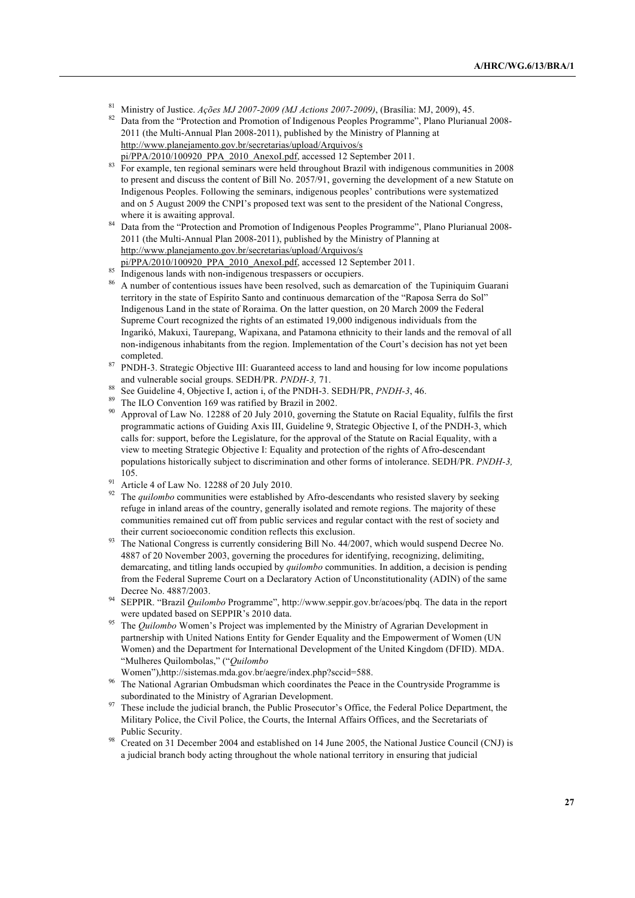- <sup>81</sup> Ministry of Justice. *Ações MJ 2007-2009 (MJ Actions 2007-2009)*, (Brasília: MJ, 2009), 45.<br><sup>82</sup> Deta france de "Distantina and Despretism of Indiana proposales Despressors", Plana Planian
- <sup>82</sup> Data from the "Protection and Promotion of Indigenous Peoples Programme", Plano Plurianual 2008- 2011 (the Multi-Annual Plan 2008-2011), published by the Ministry of Planning at http://www.planejamento.gov.br/secretarias/upload/Arquivos/s pi/PPA/2010/100920\_PPA\_2010\_AnexoI.pdf, accessed 12 September 2011.
- <sup>83</sup> For example, ten regional seminars were held throughout Brazil with indigenous communities in 2008 to present and discuss the content of Bill No. 2057/91, governing the development of a new Statute on Indigenous Peoples. Following the seminars, indigenous peoples' contributions were systematized and on 5 August 2009 the CNPI's proposed text was sent to the president of the National Congress, where it is awaiting approval.
- <sup>84</sup> Data from the "Protection and Promotion of Indigenous Peoples Programme", Plano Plurianual 2008-2011 (the Multi-Annual Plan 2008-2011), published by the Ministry of Planning at http://www.planejamento.gov.br/secretarias/upload/Arquivos/s
- pi/PPA/2010/100920\_PPA\_2010\_AnexoI.pdf, accessed 12 September 2011.
- 85 Indigenous lands with non-indigenous trespassers or occupiers.
- <sup>86</sup> A number of contentious issues have been resolved, such as demarcation of the Tupiniquim Guarani territory in the state of Espírito Santo and continuous demarcation of the "Raposa Serra do Sol" Indigenous Land in the state of Roraima. On the latter question, on 20 March 2009 the Federal Supreme Court recognized the rights of an estimated 19,000 indigenous individuals from the Ingarikó, Makuxi, Taurepang, Wapixana, and Patamona ethnicity to their lands and the removal of all non-indigenous inhabitants from the region. Implementation of the Court's decision has not yet been completed.
- <sup>87</sup> PNDH-3. Strategic Objective III: Guaranteed access to land and housing for low income populations and vulnerable social groups. SEDH/PR. *PNDH-3,* 71.
- <sup>88</sup> See Guideline 4, Objective I, action i, of the PNDH-3. SEDH/PR, *PNDH-3*, 46.
- The ILO Convention 169 was ratified by Brazil in 2002.
- Approval of Law No. 12288 of 20 July 2010, governing the Statute on Racial Equality, fulfils the first programmatic actions of Guiding Axis III, Guideline 9, Strategic Objective I, of the PNDH-3, which calls for: support, before the Legislature, for the approval of the Statute on Racial Equality, with a view to meeting Strategic Objective I: Equality and protection of the rights of Afro-descendant populations historically subject to discrimination and other forms of intolerance. SEDH/PR. *PNDH-3,*  105.
- <sup>91</sup> Article 4 of Law No. 12288 of 20 July 2010.
- <sup>92</sup> The *quilombo* communities were established by Afro-descendants who resisted slavery by seeking refuge in inland areas of the country, generally isolated and remote regions. The majority of these communities remained cut off from public services and regular contact with the rest of society and their current socioeconomic condition reflects this exclusion.
- <sup>93</sup> The National Congress is currently considering Bill No. 44/2007, which would suspend Decree No. 4887 of 20 November 2003, governing the procedures for identifying, recognizing, delimiting, demarcating, and titling lands occupied by *quilombo* communities. In addition, a decision is pending from the Federal Supreme Court on a Declaratory Action of Unconstitutionality (ADIN) of the same Decree No. 4887/2003.
- <sup>94</sup> SEPPIR. "Brazil *Quilombo* Programme", http://www.seppir.gov.br/acoes/pbq. The data in the report were updated based on SEPPIR's 2010 data.
- <sup>95</sup> The *Quilombo* Women's Project was implemented by the Ministry of Agrarian Development in partnership with United Nations Entity for Gender Equality and the Empowerment of Women (UN Women) and the Department for International Development of the United Kingdom (DFID). MDA. "Mulheres Quilombolas," ("*Quilombo*

Women"),http://sistemas.mda.gov.br/aegre/index.php?sccid=588.

- <sup>96</sup> The National Agrarian Ombudsman which coordinates the Peace in the Countryside Programme is subordinated to the Ministry of Agrarian Development.
- <sup>97</sup> These include the judicial branch, the Public Prosecutor's Office, the Federal Police Department, the Military Police, the Civil Police, the Courts, the Internal Affairs Offices, and the Secretariats of Public Security.
- <sup>98</sup> Created on 31 December 2004 and established on 14 June 2005, the National Justice Council (CNJ) is a judicial branch body acting throughout the whole national territory in ensuring that judicial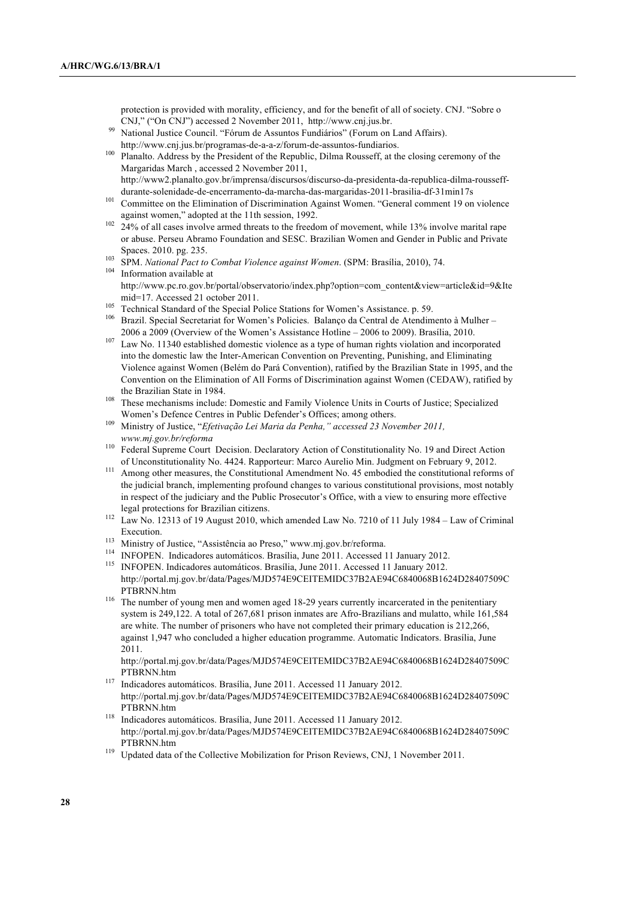protection is provided with morality, efficiency, and for the benefit of all of society. CNJ. "Sobre o CNJ," ("On CNJ") accessed 2 November 2011, http://www.cnj.jus.br.

- <sup>99</sup> National Justice Council. "Fórum de Assuntos Fundiários" (Forum on Land Affairs). http://www.cnj.jus.br/programas-de-a-a-z/forum-de-assuntos-fundiarios.
- <sup>100</sup> Planalto. Address by the President of the Republic, Dilma Rousseff, at the closing ceremony of the Margaridas March , accessed 2 November 2011, http://www2.planalto.gov.br/imprensa/discursos/discurso-da-presidenta-da-republica-dilma-rousseffdurante-solenidade-de-encerramento-da-marcha-das-margaridas-2011-brasilia-df-31min17s
- <sup>101</sup> Committee on the Elimination of Discrimination Against Women. "General comment 19 on violence against women," adopted at the 11th session, 1992.
- $102$  24% of all cases involve armed threats to the freedom of movement, while 13% involve marital rape or abuse. Perseu Abramo Foundation and SESC. Brazilian Women and Gender in Public and Private Spaces. 2010. pg. 235.
- <sup>103</sup> SPM. *National Pact to Combat Violence against Women*. (SPM: Brasília, 2010), 74.
- <sup>104</sup> Information available at http://www.pc.ro.gov.br/portal/observatorio/index.php?option=com\_content&view=article&id=9&Ite mid=17. Accessed 21 october 2011.
- <sup>105</sup> Technical Standard of the Special Police Stations for Women's Assistance. p. 59.
- <sup>106</sup> Brazil. Special Secretariat for Women's Policies. Balanço da Central de Atendimento à Mulher 2006 a 2009 (Overview of the Women's Assistance Hotline – 2006 to 2009). Brasília, 2010.
- $107$  Law No. 11340 established domestic violence as a type of human rights violation and incorporated into the domestic law the Inter-American Convention on Preventing, Punishing, and Eliminating Violence against Women (Belém do Pará Convention), ratified by the Brazilian State in 1995, and the Convention on the Elimination of All Forms of Discrimination against Women (CEDAW), ratified by the Brazilian State in 1984.
- <sup>108</sup> These mechanisms include: Domestic and Family Violence Units in Courts of Justice; Specialized Women's Defence Centres in Public Defender's Offices; among others.
- <sup>109</sup> Ministry of Justice, "*Efetivação Lei Maria da Penha," accessed 23 November 2011, www.mj.gov.br/reforma*
- <sup>110</sup> Federal Supreme Court Decision. Declaratory Action of Constitutionality No. 19 and Direct Action of Unconstitutionality No. 4424. Rapporteur: Marco Aurelio Min. Judgment on February 9, 2012.
- <sup>111</sup> Among other measures, the Constitutional Amendment No. 45 embodied the constitutional reforms of the judicial branch, implementing profound changes to various constitutional provisions, most notably in respect of the judiciary and the Public Prosecutor's Office, with a view to ensuring more effective legal protections for Brazilian citizens.
- <sup>112</sup> Law No. 12313 of 19 August 2010, which amended Law No. 7210 of 11 July 1984 Law of Criminal Execution.
- <sup>113</sup> Ministry of Justice, "Assistência ao Preso," www.mj.gov.br/reforma.
- <sup>114</sup> INFOPEN. Indicadores automáticos. Brasília, June 2011. Accessed 11 January 2012. <sup>115</sup> INFOPEN. Indicadores automáticos. Brasília, June 2011. Accessed 11 January 2012.
- http://portal.mj.gov.br/data/Pages/MJD574E9CEITEMIDC37B2AE94C6840068B1624D28407509C PTBRNN.htm
- <sup>116</sup> The number of young men and women aged 18-29 years currently incarcerated in the penitentiary system is 249,122. A total of 267,681 prison inmates are Afro-Brazilians and mulatto, while 161,584 are white. The number of prisoners who have not completed their primary education is 212,266, against 1,947 who concluded a higher education programme. Automatic Indicators. Brasília, June 2011.

http://portal.mj.gov.br/data/Pages/MJD574E9CEITEMIDC37B2AE94C6840068B1624D28407509C PTBRNN.htm

- <sup>117</sup> Indicadores automáticos. Brasília, June 2011. Accessed 11 January 2012. http://portal.mj.gov.br/data/Pages/MJD574E9CEITEMIDC37B2AE94C6840068B1624D28407509C PTBRNN.htm
- <sup>118</sup> Indicadores automáticos. Brasília, June 2011. Accessed 11 January 2012. http://portal.mj.gov.br/data/Pages/MJD574E9CEITEMIDC37B2AE94C6840068B1624D28407509C PTBRNN.htm
- <sup>119</sup> Updated data of the Collective Mobilization for Prison Reviews, CNJ, 1 November 2011.